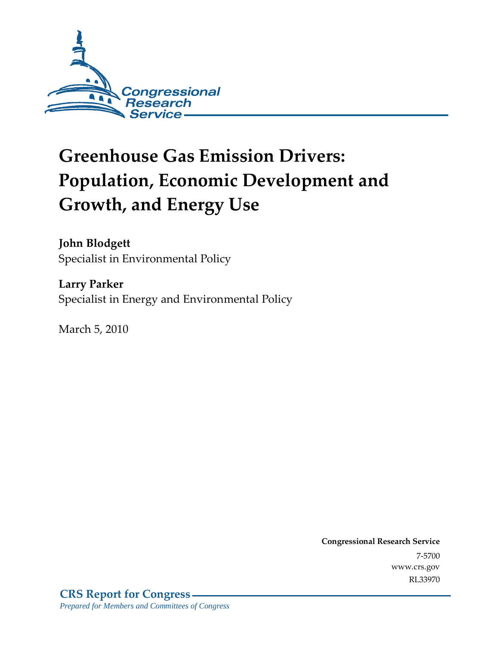

# **Greenhouse Gas Emission Drivers: Population, Economic Development and Growth, and Energy Use**

**John Blodgett**  Specialist in Environmental Policy

**Larry Parker**  Specialist in Energy and Environmental Policy

March 5, 2010

**Congressional Research Service** 7-5700 www.crs.gov RL33970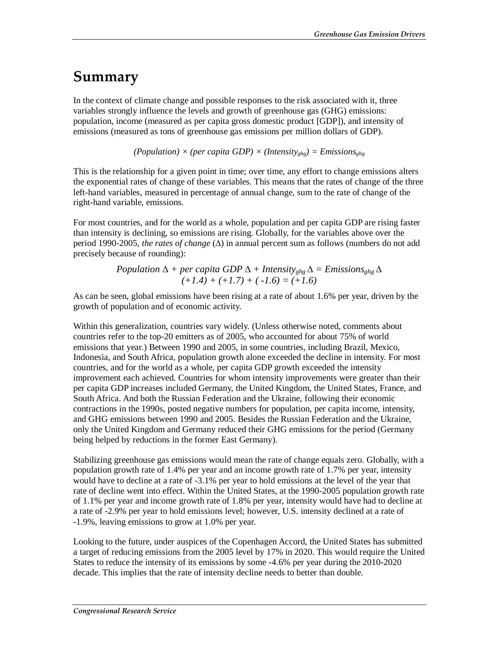## **Summary**

In the context of climate change and possible responses to the risk associated with it, three variables strongly influence the levels and growth of greenhouse gas (GHG) emissions: population, income (measured as per capita gross domestic product [GDP]), and intensity of emissions (measured as tons of greenhouse gas emissions per million dollars of GDP).

 $(Population) \times (per capita GDP) \times (Intensity<sub>ghg</sub>) = Emissions<sub>ghg</sub>$ 

This is the relationship for a given point in time; over time, any effort to change emissions alters the exponential rates of change of these variables. This means that the rates of change of the three left-hand variables, measured in percentage of annual change, sum to the rate of change of the right-hand variable, emissions.

For most countries, and for the world as a whole, population and per capita GDP are rising faster than intensity is declining, so emissions are rising. Globally, for the variables above over the period 1990-2005, *the rates of change* (∆) in annual percent sum as follows (numbers do not add precisely because of rounding):

> *Population* ∆ *+ per capita GDP* ∆ *+ Intensityghg* ∆ *= Emissionsghg* ∆ *(+1.4) + (+1.7) + ( -1.6) = (+1.6)*

As can be seen, global emissions have been rising at a rate of about 1.6% per year, driven by the growth of population and of economic activity.

Within this generalization, countries vary widely. (Unless otherwise noted, comments about countries refer to the top-20 emitters as of 2005, who accounted for about 75% of world emissions that year.) Between 1990 and 2005, in some countries, including Brazil, Mexico, Indonesia, and South Africa, population growth alone exceeded the decline in intensity. For most countries, and for the world as a whole, per capita GDP growth exceeded the intensity improvement each achieved. Countries for whom intensity improvements were greater than their per capita GDP increases included Germany, the United Kingdom, the United States, France, and South Africa. And both the Russian Federation and the Ukraine, following their economic contractions in the 1990s, posted negative numbers for population, per capita income, intensity, and GHG emissions between 1990 and 2005. Besides the Russian Federation and the Ukraine, only the United Kingdom and Germany reduced their GHG emissions for the period (Germany being helped by reductions in the former East Germany).

Stabilizing greenhouse gas emissions would mean the rate of change equals zero. Globally, with a population growth rate of 1.4% per year and an income growth rate of 1.7% per year, intensity would have to decline at a rate of -3.1% per year to hold emissions at the level of the year that rate of decline went into effect. Within the United States, at the 1990-2005 population growth rate of 1.1% per year and income growth rate of 1.8% per year, intensity would have had to decline at a rate of -2.9% per year to hold emissions level; however, U.S. intensity declined at a rate of -1.9%, leaving emissions to grow at 1.0% per year.

Looking to the future, under auspices of the Copenhagen Accord, the United States has submitted a target of reducing emissions from the 2005 level by 17% in 2020. This would require the United States to reduce the intensity of its emissions by some -4.6% per year during the 2010-2020 decade. This implies that the rate of intensity decline needs to better than double.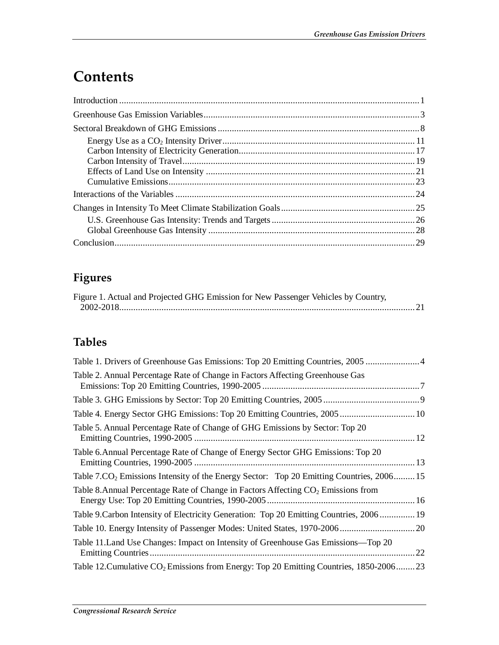## **Contents**

### **Figures**

| Figure 1. Actual and Projected GHG Emission for New Passenger Vehicles by Country, |  |
|------------------------------------------------------------------------------------|--|
|                                                                                    |  |

## **Tables**

| Table 1. Drivers of Greenhouse Gas Emissions: Top 20 Emitting Countries, 2005                        |  |
|------------------------------------------------------------------------------------------------------|--|
| Table 2. Annual Percentage Rate of Change in Factors Affecting Greenhouse Gas                        |  |
|                                                                                                      |  |
| Table 4. Energy Sector GHG Emissions: Top 20 Emitting Countries, 2005 10                             |  |
| Table 5. Annual Percentage Rate of Change of GHG Emissions by Sector: Top 20                         |  |
| Table 6. Annual Percentage Rate of Change of Energy Sector GHG Emissions: Top 20                     |  |
| Table 7.CO <sub>2</sub> Emissions Intensity of the Energy Sector: Top 20 Emitting Countries, 2006 15 |  |
| Table 8. Annual Percentage Rate of Change in Factors Affecting CO <sub>2</sub> Emissions from        |  |
| Table 9. Carbon Intensity of Electricity Generation: Top 20 Emitting Countries, 2006 19              |  |
|                                                                                                      |  |
| Table 11. Land Use Changes: Impact on Intensity of Greenhouse Gas Emissions—Top 20<br>22             |  |
| Table 12. Cumulative CO <sub>2</sub> Emissions from Energy: Top 20 Emitting Countries, 1850-2006 23  |  |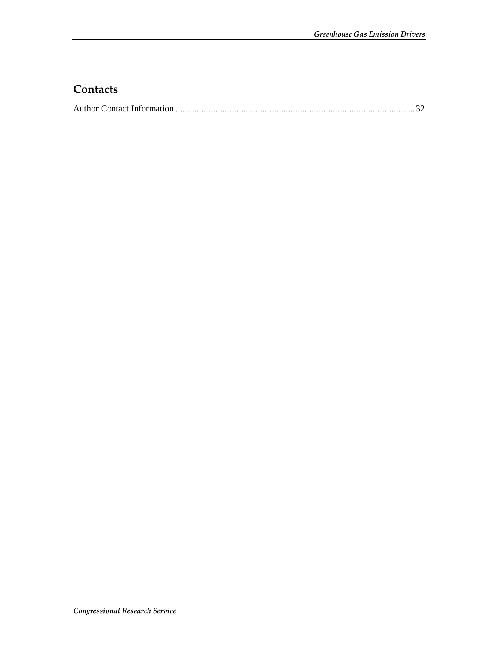### **Contacts**

|--|--|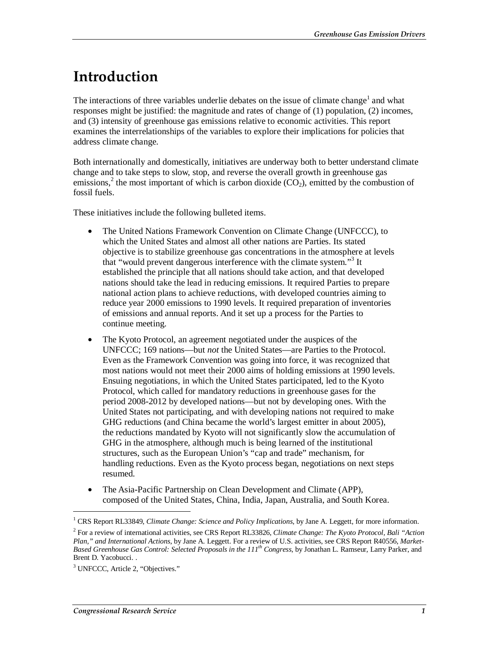## **Introduction**

The interactions of three variables underlie debates on the issue of climate change<sup>1</sup> and what responses might be justified: the magnitude and rates of change of (1) population, (2) incomes, and (3) intensity of greenhouse gas emissions relative to economic activities. This report examines the interrelationships of the variables to explore their implications for policies that address climate change.

Both internationally and domestically, initiatives are underway both to better understand climate change and to take steps to slow, stop, and reverse the overall growth in greenhouse gas emissions,<sup>2</sup> the most important of which is carbon dioxide  $(CO_2)$ , emitted by the combustion of fossil fuels.

These initiatives include the following bulleted items.

- The United Nations Framework Convention on Climate Change (UNFCCC), to which the United States and almost all other nations are Parties. Its stated objective is to stabilize greenhouse gas concentrations in the atmosphere at levels that "would prevent dangerous interference with the climate system."<sup>3</sup> It established the principle that all nations should take action, and that developed nations should take the lead in reducing emissions. It required Parties to prepare national action plans to achieve reductions, with developed countries aiming to reduce year 2000 emissions to 1990 levels. It required preparation of inventories of emissions and annual reports. And it set up a process for the Parties to continue meeting.
- The Kyoto Protocol, an agreement negotiated under the auspices of the UNFCCC; 169 nations—but *not* the United States—are Parties to the Protocol. Even as the Framework Convention was going into force, it was recognized that most nations would not meet their 2000 aims of holding emissions at 1990 levels. Ensuing negotiations, in which the United States participated, led to the Kyoto Protocol, which called for mandatory reductions in greenhouse gases for the period 2008-2012 by developed nations—but not by developing ones. With the United States not participating, and with developing nations not required to make GHG reductions (and China became the world's largest emitter in about 2005), the reductions mandated by Kyoto will not significantly slow the accumulation of GHG in the atmosphere, although much is being learned of the institutional structures, such as the European Union's "cap and trade" mechanism, for handling reductions. Even as the Kyoto process began, negotiations on next steps resumed.
- The Asia-Pacific Partnership on Clean Development and Climate (APP), composed of the United States, China, India, Japan, Australia, and South Korea.

<sup>&</sup>lt;sup>1</sup> CRS Report RL33849, *Climate Change: Science and Policy Implications*, by Jane A. Leggett, for more information.

<sup>2</sup> For a review of international activities, see CRS Report RL33826, *Climate Change: The Kyoto Protocol, Bali "Action Plan," and International Actions*, by Jane A. Leggett. For a review of U.S. activities, see CRS Report R40556, *Market-Based Greenhouse Gas Control: Selected Proposals in the 111th Congress*, by Jonathan L. Ramseur, Larry Parker, and Brent D. Yacobucci. .

<sup>&</sup>lt;sup>3</sup> UNFCCC, Article 2, "Objectives."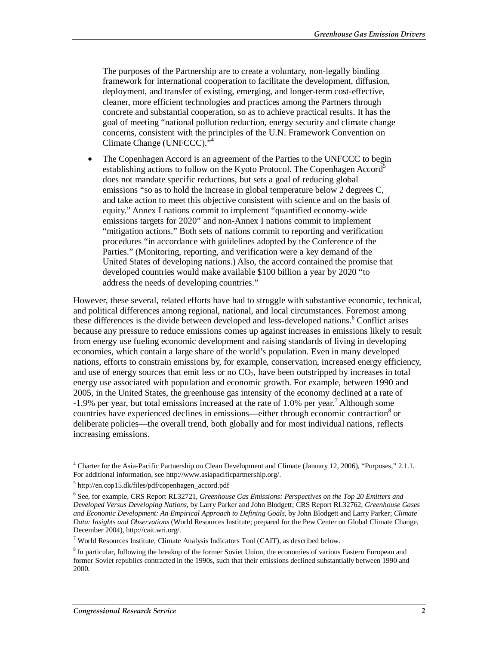The purposes of the Partnership are to create a voluntary, non-legally binding framework for international cooperation to facilitate the development, diffusion, deployment, and transfer of existing, emerging, and longer-term cost-effective, cleaner, more efficient technologies and practices among the Partners through concrete and substantial cooperation, so as to achieve practical results. It has the goal of meeting "national pollution reduction, energy security and climate change concerns, consistent with the principles of the U.N. Framework Convention on Climate Change (UNFCCC)."4

• The Copenhagen Accord is an agreement of the Parties to the UNFCCC to begin establishing actions to follow on the Kyoto Protocol. The Copenhagen Accord<sup>5</sup> does not mandate specific reductions, but sets a goal of reducing global emissions "so as to hold the increase in global temperature below 2 degrees C, and take action to meet this objective consistent with science and on the basis of equity." Annex I nations commit to implement "quantified economy-wide emissions targets for 2020" and non-Annex I nations commit to implement "mitigation actions." Both sets of nations commit to reporting and verification procedures "in accordance with guidelines adopted by the Conference of the Parties." (Monitoring, reporting, and verification were a key demand of the United States of developing nations.) Also, the accord contained the promise that developed countries would make available \$100 billion a year by 2020 "to address the needs of developing countries."

However, these several, related efforts have had to struggle with substantive economic, technical, and political differences among regional, national, and local circumstances. Foremost among these differences is the divide between developed and less-developed nations.<sup>6</sup> Conflict arises because any pressure to reduce emissions comes up against increases in emissions likely to result from energy use fueling economic development and raising standards of living in developing economies, which contain a large share of the world's population. Even in many developed nations, efforts to constrain emissions by, for example, conservation, increased energy efficiency, and use of energy sources that emit less or no  $CO<sub>2</sub>$ , have been outstripped by increases in total energy use associated with population and economic growth. For example, between 1990 and 2005, in the United States, the greenhouse gas intensity of the economy declined at a rate of  $-1.9\%$  per year, but total emissions increased at the rate of 1.0% per year.<sup>7</sup> Although some countries have experienced declines in emissions—either through economic contraction<sup>8</sup> or deliberate policies—the overall trend, both globally and for most individual nations, reflects increasing emissions.

<sup>&</sup>lt;sup>4</sup> Charter for the Asia-Pacific Partnership on Clean Development and Climate (January 12, 2006), "Purposes," 2.1.1. For additional information, see http://www.asiapacificpartnership.org/.

<sup>5</sup> http://en.cop15.dk/files/pdf/copenhagen\_accord.pdf

<sup>6</sup> See, for example, CRS Report RL32721, *Greenhouse Gas Emissions: Perspectives on the Top 20 Emitters and Developed Versus Developing Nations*, by Larry Parker and John Blodgett; CRS Report RL32762, *Greenhouse Gases and Economic Development: An Empirical Approach to Defining Goals*, by John Blodgett and Larry Parker; *Climate Data: Insights and Observations* (World Resources Institute; prepared for the Pew Center on Global Climate Change, December 2004), http://cait.wri.org/.

 $7$  World Resources Institute, Climate Analysis Indicators Tool (CAIT), as described below.

<sup>&</sup>lt;sup>8</sup> In particular, following the breakup of the former Soviet Union, the economies of various Eastern European and former Soviet republics contracted in the 1990s, such that their emissions declined substantially between 1990 and 2000.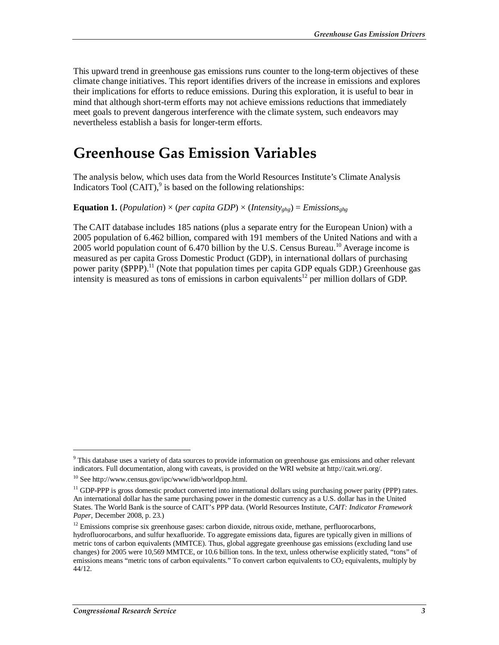This upward trend in greenhouse gas emissions runs counter to the long-term objectives of these climate change initiatives. This report identifies drivers of the increase in emissions and explores their implications for efforts to reduce emissions. During this exploration, it is useful to bear in mind that although short-term efforts may not achieve emissions reductions that immediately meet goals to prevent dangerous interference with the climate system, such endeavors may nevertheless establish a basis for longer-term efforts.

## **Greenhouse Gas Emission Variables**

The analysis below, which uses data from the World Resources Institute's Climate Analysis Indicators Tool  $(CAIT)$ ,  $9$  is based on the following relationships:

#### **Equation 1.** (*Population*)  $\times$  (*per capita GDP*)  $\times$  (*Intensity<sub>ghg</sub>*) = *Emissions<sub>ghg</sub>*

The CAIT database includes 185 nations (plus a separate entry for the European Union) with a 2005 population of 6.462 billion, compared with 191 members of the United Nations and with a 2005 world population count of 6.470 billion by the U.S. Census Bureau.<sup>10</sup> Average income is measured as per capita Gross Domestic Product (GDP), in international dollars of purchasing power parity (\$PPP).<sup>11</sup> (Note that population times per capita GDP equals GDP.) Greenhouse gas intensity is measured as tons of emissions in carbon equivalents<sup>12</sup> per million dollars of GDP.

<sup>&</sup>lt;sup>9</sup> This database uses a variety of data sources to provide information on greenhouse gas emissions and other relevant indicators. Full documentation, along with caveats, is provided on the WRI website at http://cait.wri.org/.

 $10$  See http://www.census.gov/ipc/www/idb/worldpop.html.

 $11$  GDP-PPP is gross domestic product converted into international dollars using purchasing power parity (PPP) rates. An international dollar has the same purchasing power in the domestic currency as a U.S. dollar has in the United States. The World Bank is the source of CAIT's PPP data. (World Resources Institute, *CAIT: Indicator Framework Paper*, December 2008, p. 23.)

 $12$  Emissions comprise six greenhouse gases: carbon dioxide, nitrous oxide, methane, perfluorocarbons, hydrofluorocarbons, and sulfur hexafluoride. To aggregate emissions data, figures are typically given in millions of metric tons of carbon equivalents (MMTCE). Thus, global aggregate greenhouse gas emissions (excluding land use changes) for 2005 were 10,569 MMTCE, or 10.6 billion tons. In the text, unless otherwise explicitly stated, "tons" of emissions means "metric tons of carbon equivalents." To convert carbon equivalents to CO<sub>2</sub> equivalents, multiply by 44/12.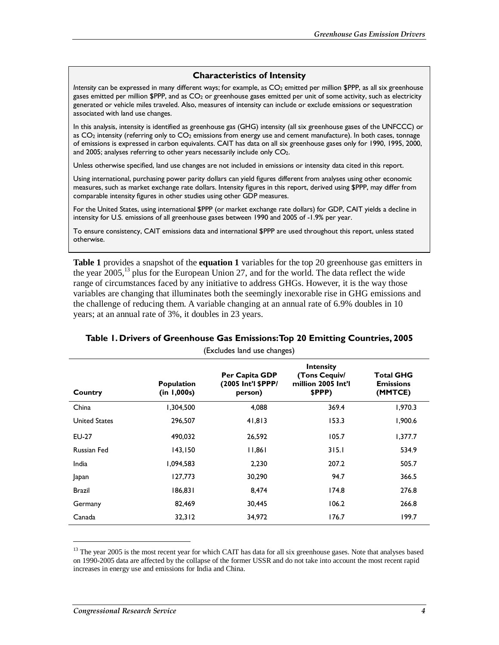#### **Characteristics of Intensity**

*Intensity* can be expressed in many different ways; for example, as CO<sub>2</sub> emitted per million \$PPP, as all six greenhouse gases emitted per million \$PPP, and as CO2 or greenhouse gases emitted per unit of some activity, such as electricity generated or vehicle miles traveled. Also, measures of intensity can include or exclude emissions or sequestration associated with land use changes.

In this analysis, intensity is identified as greenhouse gas (GHG) intensity (all six greenhouse gases of the UNFCCC) or as  $CO<sub>2</sub>$  intensity (referring only to  $CO<sub>2</sub>$  emissions from energy use and cement manufacture). In both cases, tonnage of emissions is expressed in carbon equivalents. CAIT has data on all six greenhouse gases only for 1990, 1995, 2000, and 2005; analyses referring to other years necessarily include only  $CO<sub>2</sub>$ .

Unless otherwise specified, land use changes are not included in emissions or intensity data cited in this report.

Using international, purchasing power parity dollars can yield figures different from analyses using other economic measures, such as market exchange rate dollars. Intensity figures in this report, derived using \$PPP, may differ from comparable intensity figures in other studies using other GDP measures.

For the United States, using international \$PPP (or market exchange rate dollars) for GDP, CAIT yields a decline in intensity for U.S. emissions of all greenhouse gases between 1990 and 2005 of -1.9% per year.

To ensure consistency, CAIT emissions data and international \$PPP are used throughout this report, unless stated otherwise.

**Table 1** provides a snapshot of the **equation 1** variables for the top 20 greenhouse gas emitters in the year  $2005$ ,<sup>13</sup> plus for the European Union 27, and for the world. The data reflect the wide range of circumstances faced by any initiative to address GHGs. However, it is the way those variables are changing that illuminates both the seemingly inexorable rise in GHG emissions and the challenge of reducing them. A variable changing at an annual rate of 6.9% doubles in 10 years; at an annual rate of 3%, it doubles in 23 years.

|                    | LACIUSES IANU USE CHANKESI       |                                                 |                                                            |                                                 |  |  |  |
|--------------------|----------------------------------|-------------------------------------------------|------------------------------------------------------------|-------------------------------------------------|--|--|--|
| Country            | <b>Population</b><br>(in 1,000s) | Per Capita GDP<br>(2005 Int'l \$PPP/<br>person) | Intensity<br>(Tons Cequiv/<br>million 2005 Int'l<br>\$PPP) | <b>Total GHG</b><br><b>Emissions</b><br>(MMTCE) |  |  |  |
| China              | 1,304,500                        | 4,088                                           | 369.4                                                      | 1,970.3                                         |  |  |  |
| United States      | 296,507                          | 41,813                                          | 153.3                                                      | 1,900.6                                         |  |  |  |
| EU-27              | 490.032                          | 26,592                                          | 105.7                                                      | 1,377.7                                         |  |  |  |
| <b>Russian Fed</b> | 143,150                          | 11,861                                          | 315.1                                                      | 534.9                                           |  |  |  |
| India              | 1,094,583                        | 2,230                                           | 207.2                                                      | 505.7                                           |  |  |  |
| Japan              | 127,773                          | 30,290                                          | 94.7                                                       | 366.5                                           |  |  |  |
| <b>Brazil</b>      | 186,831                          | 8,474                                           | 174.8                                                      | 276.8                                           |  |  |  |
| Germany            | 82,469                           | 30,445                                          | 106.2                                                      | 266.8                                           |  |  |  |
| Canada             | 32,312                           | 34,972                                          | 176.7                                                      | 199.7                                           |  |  |  |

#### **Table 1. Drivers of Greenhouse Gas Emissions: Top 20 Emitting Countries, 2005**

(Excludes land use changes)

<sup>&</sup>lt;sup>13</sup> The year 2005 is the most recent year for which CAIT has data for all six greenhouse gases. Note that analyses based on 1990-2005 data are affected by the collapse of the former USSR and do not take into account the most recent rapid increases in energy use and emissions for India and China.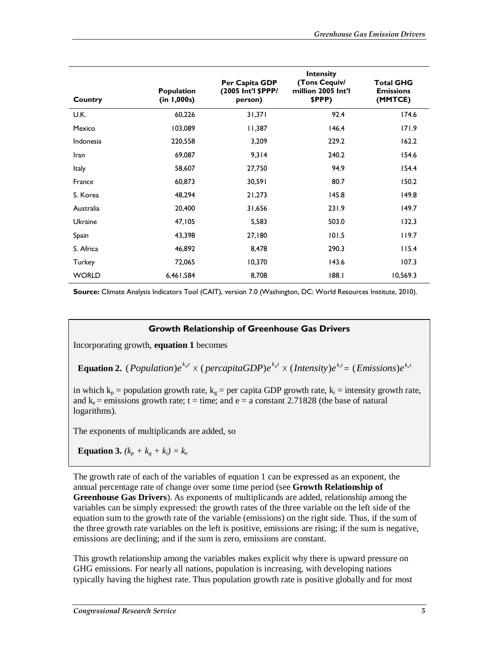| Country      | <b>Population</b><br>(in 1,000s) | Per Capita GDP<br>(2005 Int'l \$PPP/<br>person) | <b>Intensity</b><br>(Tons Cequiv/<br>million 2005 Int'l<br>\$PPP) | <b>Total GHG</b><br><b>Emissions</b><br>(MMTCE) |
|--------------|----------------------------------|-------------------------------------------------|-------------------------------------------------------------------|-------------------------------------------------|
| U.K.         | 60,226                           | 31,371                                          | 92.4                                                              | 174.6                                           |
| Mexico       | 103,089                          | 11,387                                          | 146.4                                                             | 171.9                                           |
| Indonesia    | 220,558                          | 3,209                                           | 229.2                                                             | 162.2                                           |
| Iran         | 69,087                           | 9,314                                           | 240.2                                                             | 154.6                                           |
| <b>Italy</b> | 58,607                           | 27,750                                          | 94.9                                                              | 154.4                                           |
| France       | 60,873                           | 30,591                                          | 80.7                                                              | 150.2                                           |
| S. Korea     | 48,294                           | 21,273                                          | 145.8                                                             | 149.8                                           |
| Australia    | 20,400                           | 31,656                                          | 231.9                                                             | 149.7                                           |
| Ukraine      | 47,105                           | 5,583                                           | 503.0                                                             | 132.3                                           |
| Spain        | 43,398                           | 27,180                                          | 101.5                                                             | 119.7                                           |
| S. Africa    | 46,892                           | 8,478                                           | 290.3                                                             | 115.4                                           |
| Turkey       | 72,065                           | 10,370                                          | 143.6                                                             | 107.3                                           |
| <b>WORLD</b> | 6,461,584                        | 8,708                                           | 188.1                                                             | 10,569.3                                        |

**Source:** Climate Analysis Indicators Tool (CAIT), version 7.0 (Washington, DC: World Resources Institute, 2010).

#### **Growth Relationship of Greenhouse Gas Drivers**

Incorporating growth, **equation 1** becomes

**Equation 2.** ( *Population*) $e^{k_p t} \times (percapitaGDP)e^{k_s t} \times (Intensity)e^{k_i t} = (Emissions)e^{k_c t}$ 

in which  $k_p$  = population growth rate,  $k_g$  = per capita GDP growth rate,  $k_i$  = intensity growth rate, and  $k_e$  = emissions growth rate; t = time; and e = a constant 2.71828 (the base of natural logarithms).

The exponents of multiplicands are added, so

**Equation 3.**  $(k_p + k_q + k_i) = k_e$ 

The growth rate of each of the variables of equation 1 can be expressed as an exponent, the annual percentage rate of change over some time period (see **Growth Relationship of Greenhouse Gas Drivers**). As exponents of multiplicands are added, relationship among the variables can be simply expressed: the growth rates of the three variable on the left side of the equation sum to the growth rate of the variable (emissions) on the right side. Thus, if the sum of the three growth rate variables on the left is positive, emissions are rising; if the sum is negative, emissions are declining; and if the sum is zero, emissions are constant.

This growth relationship among the variables makes explicit why there is upward pressure on GHG emissions. For nearly all nations, population is increasing, with developing nations typically having the highest rate. Thus population growth rate is positive globally and for most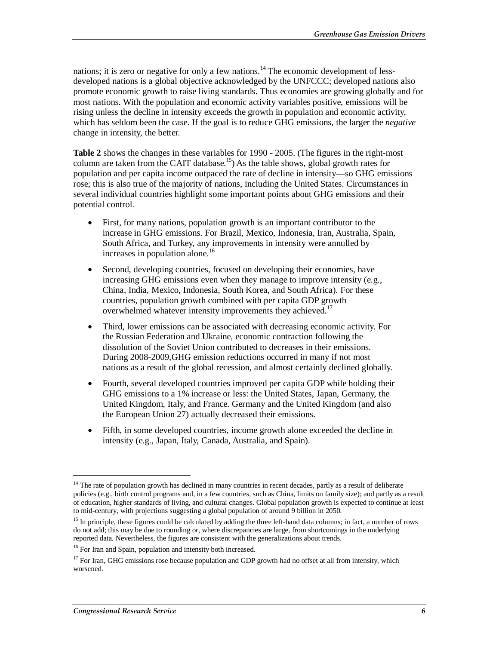nations; it is zero or negative for only a few nations.<sup>14</sup> The economic development of lessdeveloped nations is a global objective acknowledged by the UNFCCC; developed nations also promote economic growth to raise living standards. Thus economies are growing globally and for most nations. With the population and economic activity variables positive, emissions will be rising unless the decline in intensity exceeds the growth in population and economic activity, which has seldom been the case. If the goal is to reduce GHG emissions, the larger the *negative* change in intensity, the better.

Table 2 shows the changes in these variables for 1990 - 2005. (The figures in the right-most column are taken from the CAIT database.<sup>15</sup>) As the table shows, global growth rates for population and per capita income outpaced the rate of decline in intensity—so GHG emissions rose; this is also true of the majority of nations, including the United States. Circumstances in several individual countries highlight some important points about GHG emissions and their potential control.

- First, for many nations, population growth is an important contributor to the increase in GHG emissions. For Brazil, Mexico, Indonesia, Iran, Australia, Spain, South Africa, and Turkey, any improvements in intensity were annulled by increases in population alone.<sup>16</sup>
- Second, developing countries, focused on developing their economies, have increasing GHG emissions even when they manage to improve intensity (e.g., China, India, Mexico, Indonesia, South Korea, and South Africa). For these countries, population growth combined with per capita GDP growth overwhelmed whatever intensity improvements they achieved.<sup>17</sup>
- Third, lower emissions can be associated with decreasing economic activity. For the Russian Federation and Ukraine, economic contraction following the dissolution of the Soviet Union contributed to decreases in their emissions. During 2008-2009,GHG emission reductions occurred in many if not most nations as a result of the global recession, and almost certainly declined globally.
- Fourth, several developed countries improved per capita GDP while holding their GHG emissions to a 1% increase or less: the United States, Japan, Germany, the United Kingdom, Italy, and France. Germany and the United Kingdom (and also the European Union 27) actually decreased their emissions.
- Fifth, in some developed countries, income growth alone exceeded the decline in intensity (e.g., Japan, Italy, Canada, Australia, and Spain).

 $14$  The rate of population growth has declined in many countries in recent decades, partly as a result of deliberate policies (e.g., birth control programs and, in a few countries, such as China, limits on family size); and partly as a result of education, higher standards of living, and cultural changes. Global population growth is expected to continue at least to mid-century, with projections suggesting a global population of around 9 billion in 2050.

<sup>&</sup>lt;sup>15</sup> In principle, these figures could be calculated by adding the three left-hand data columns; in fact, a number of rows do not add; this may be due to rounding or, where discrepancies are large, from shortcomings in the underlying reported data. Nevertheless, the figures are consistent with the generalizations about trends.

<sup>&</sup>lt;sup>16</sup> For Iran and Spain, population and intensity both increased.

<sup>&</sup>lt;sup>17</sup> For Iran, GHG emissions rose because population and GDP growth had no offset at all from intensity, which worsened.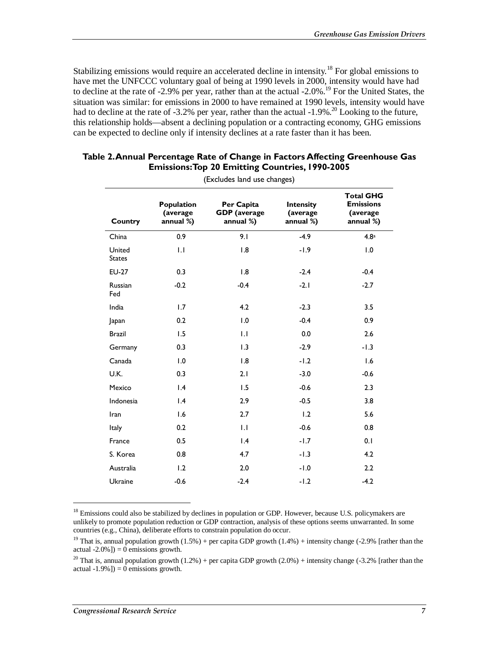Stabilizing emissions would require an accelerated decline in intensity.<sup>18</sup> For global emissions to have met the UNFCCC voluntary goal of being at 1990 levels in 2000, intensity would have had to decline at the rate of -2.9% per year, rather than at the actual -2.0%.<sup>19</sup> For the United States, the situation was similar: for emissions in 2000 to have remained at 1990 levels, intensity would have had to decline at the rate of -3.2% per year, rather than the actual  $-1.9\%$ <sup>20</sup> Looking to the future, this relationship holds—absent a declining population or a contracting economy, GHG emissions can be expected to decline only if intensity declines at a rate faster than it has been.

|                         | (Excludes land use changes)         |                                                |                                    |                                                                |  |  |  |
|-------------------------|-------------------------------------|------------------------------------------------|------------------------------------|----------------------------------------------------------------|--|--|--|
| Country                 | Population<br>(average<br>annual %) | Per Capita<br><b>GDP</b> (average<br>annual %) | Intensity<br>(average<br>annual %) | <b>Total GHG</b><br><b>Emissions</b><br>(average)<br>annual %) |  |  |  |
| China                   | 0.9                                 | 9.1                                            | $-4.9$                             | 4.8 <sup>a</sup>                                               |  |  |  |
| United<br><b>States</b> | 1.1                                 | 1.8                                            | $-1.9$                             | 1.0                                                            |  |  |  |
| <b>EU-27</b>            | 0.3                                 | 1.8                                            | $-2.4$                             | $-0.4$                                                         |  |  |  |
| Russian<br>Fed          | $-0.2$                              | $-0.4$                                         | $-2.1$                             | $-2.7$                                                         |  |  |  |
| India                   | 1.7                                 | 4.2                                            | $-2.3$                             | 3.5                                                            |  |  |  |
| Japan                   | 0.2                                 | 1.0                                            | $-0.4$                             | 0.9                                                            |  |  |  |
| <b>Brazil</b>           | 1.5                                 | 1.1                                            | 0.0                                | 2.6                                                            |  |  |  |
| Germany                 | 0.3                                 | 1.3                                            | $-2.9$                             | $-1.3$                                                         |  |  |  |
| Canada                  | 1.0                                 | 1.8                                            | $-1.2$                             | 1.6                                                            |  |  |  |
| U.K.                    | 0.3                                 | 2.1                                            | $-3.0$                             | $-0.6$                                                         |  |  |  |
| Mexico                  | $\overline{1.4}$                    | 1.5                                            | $-0.6$                             | 2.3                                                            |  |  |  |
| Indonesia               | 1.4                                 | 2.9                                            | $-0.5$                             | 3.8                                                            |  |  |  |
| Iran                    | 1.6                                 | 2.7                                            | 1.2                                | 5.6                                                            |  |  |  |
| Italy                   | 0.2                                 | 1.1                                            | $-0.6$                             | 0.8                                                            |  |  |  |
| France                  | 0.5                                 | $\mathsf{I} \cdot \mathsf{A}$                  | $-1.7$                             | 0.1                                                            |  |  |  |
| S. Korea                | 0.8                                 | 4.7                                            | $-1.3$                             | 4.2                                                            |  |  |  |
| Australia               | 1.2                                 | 2.0                                            | $-1.0$                             | 2.2                                                            |  |  |  |
| <b>Ukraine</b>          | $-0.6$                              | $-2.4$                                         | $-1.2$                             | $-4.2$                                                         |  |  |  |

#### **Table 2. Annual Percentage Rate of Change in Factors Affecting Greenhouse Gas Emissions: Top 20 Emitting Countries, 1990-2005**

<sup>18</sup> Emissions could also be stabilized by declines in population or GDP. However, because U.S. policymakers are unlikely to promote population reduction or GDP contraction, analysis of these options seems unwarranted. In some countries (e.g., China), deliberate efforts to constrain population do occur.

<u>.</u>

<sup>&</sup>lt;sup>19</sup> That is, annual population growth  $(1.5%)$  + per capita GDP growth  $(1.4%)$  + intensity change  $(-2.9%$  [rather than the actual -2.0%]) =  $\overline{0}$  emissions growth.

<sup>&</sup>lt;sup>20</sup> That is, annual population growth  $(1.2%)$  + per capita GDP growth  $(2.0%)$  + intensity change  $(-3.2%)$  [rather than the actual -1.9%]) =  $\overrightarrow{0}$  emissions growth.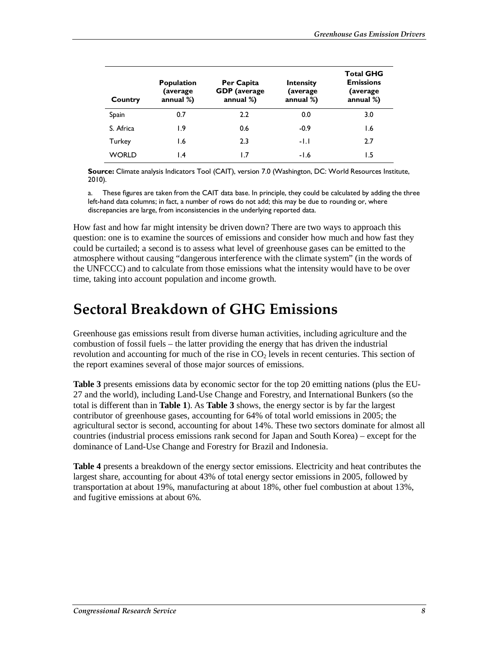| Country   | <b>Population</b><br>(average<br>annual $%$ ) | Per Capita<br><b>GDP</b> (average<br>annual $%$ ) | Intensity<br>(average<br>annual $%$ ) | <b>Total GHG</b><br><b>Emissions</b><br>(average)<br>annual $%$ ) |
|-----------|-----------------------------------------------|---------------------------------------------------|---------------------------------------|-------------------------------------------------------------------|
| Spain     | 0.7                                           | 2.2                                               | 0.0                                   | 3.0                                                               |
| S. Africa | 1.9                                           | 0.6                                               | $-0.9$                                | 1.6                                                               |
| Turkey    | l.6                                           | 2.3                                               | -1.1                                  | 2.7                                                               |
| WORLD     | l.4                                           |                                                   | $-1.6$                                | 1.5                                                               |

**Source:** Climate analysis Indicators Tool (CAIT), version 7.0 (Washington, DC: World Resources Institute, 2010).

a. These figures are taken from the CAIT data base. In principle, they could be calculated by adding the three left-hand data columns; in fact, a number of rows do not add; this may be due to rounding or, where discrepancies are large, from inconsistencies in the underlying reported data.

How fast and how far might intensity be driven down? There are two ways to approach this question: one is to examine the sources of emissions and consider how much and how fast they could be curtailed; a second is to assess what level of greenhouse gases can be emitted to the atmosphere without causing "dangerous interference with the climate system" (in the words of the UNFCCC) and to calculate from those emissions what the intensity would have to be over time, taking into account population and income growth.

## **Sectoral Breakdown of GHG Emissions**

Greenhouse gas emissions result from diverse human activities, including agriculture and the combustion of fossil fuels – the latter providing the energy that has driven the industrial revolution and accounting for much of the rise in  $CO<sub>2</sub>$  levels in recent centuries. This section of the report examines several of those major sources of emissions.

**Table 3** presents emissions data by economic sector for the top 20 emitting nations (plus the EU-27 and the world), including Land-Use Change and Forestry, and International Bunkers (so the total is different than in **Table 1**). As **Table 3** shows, the energy sector is by far the largest contributor of greenhouse gases, accounting for 64% of total world emissions in 2005; the agricultural sector is second, accounting for about 14%. These two sectors dominate for almost all countries (industrial process emissions rank second for Japan and South Korea) – except for the dominance of Land-Use Change and Forestry for Brazil and Indonesia.

**Table 4** presents a breakdown of the energy sector emissions. Electricity and heat contributes the largest share, accounting for about 43% of total energy sector emissions in 2005, followed by transportation at about 19%, manufacturing at about 18%, other fuel combustion at about 13%, and fugitive emissions at about 6%.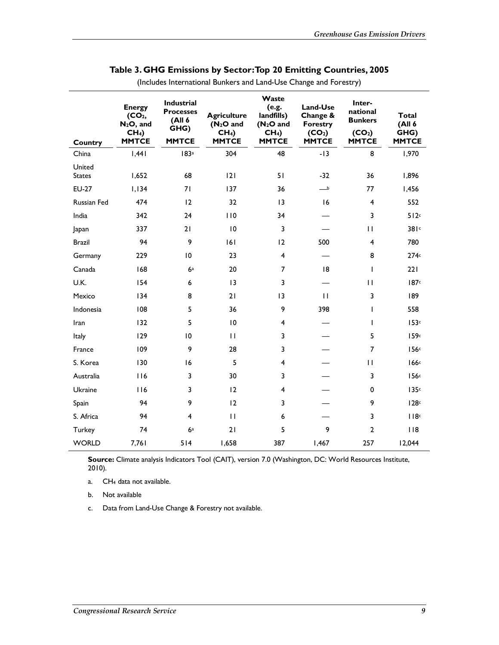| Country                 | <b>Energy</b><br>(CO <sub>2</sub> )<br>$N_2O$ , and<br>CH <sub>4</sub><br><b>MMTCE</b> | <b>Industrial</b><br><b>Processes</b><br>(All 6<br>GHG)<br><b>MMTCE</b> | <b>Agriculture</b><br>$(N2O$ and<br>CH <sub>4</sub><br><b>MMTCE</b> | Waste<br>(e.g.<br>landfills)<br>(N <sub>2</sub> O and<br>CH <sub>4</sub><br><b>MMTCE</b> | Land-Use<br>Change &<br><b>Forestry</b><br>(CO <sub>2</sub> )<br><b>MMTCE</b> | Inter-<br>national<br><b>Bunkers</b><br>(CO <sub>2</sub> )<br><b>MMTCE</b> | Total<br>(A   6)<br>GHG)<br><b>MMTCE</b> |
|-------------------------|----------------------------------------------------------------------------------------|-------------------------------------------------------------------------|---------------------------------------------------------------------|------------------------------------------------------------------------------------------|-------------------------------------------------------------------------------|----------------------------------------------------------------------------|------------------------------------------|
| China                   | 1,441                                                                                  | 183 <sup>a</sup>                                                        | 304                                                                 | 48                                                                                       | $-13$                                                                         | 8                                                                          | 1,970                                    |
| United<br><b>States</b> | 1,652                                                                                  | 68                                                                      | 2                                                                   | 51                                                                                       | $-32$                                                                         | 36                                                                         | 1,896                                    |
| <b>EU-27</b>            | 1,134                                                                                  | 71                                                                      | 137                                                                 | 36                                                                                       | $\overline{\phantom{a}}$                                                      | 77                                                                         | 1,456                                    |
| Russian Fed             | 474                                                                                    | 12                                                                      | 32                                                                  | 13                                                                                       | 16                                                                            | $\overline{\mathbf{4}}$                                                    | 552                                      |
| India                   | 342                                                                                    | 24                                                                      | 110                                                                 | 34                                                                                       |                                                                               | 3                                                                          | 512c                                     |
| Japan                   | 337                                                                                    | 21                                                                      | 10                                                                  | 3                                                                                        |                                                                               | $\mathbf{H}$                                                               | 381c                                     |
| <b>Brazil</b>           | 94                                                                                     | 9                                                                       | 6                                                                   | 12                                                                                       | 500                                                                           | $\overline{\mathbf{4}}$                                                    | 780                                      |
| Germany                 | 229                                                                                    | 10                                                                      | 23                                                                  | $\overline{\mathbf{4}}$                                                                  |                                                                               | 8                                                                          | 274c                                     |
| Canada                  | 168                                                                                    | 6a                                                                      | 20                                                                  | $\overline{7}$                                                                           | 8                                                                             | $\mathbf{I}$                                                               | 221                                      |
| U.K.                    | 154                                                                                    | 6                                                                       | 13                                                                  | 3                                                                                        |                                                                               | $\mathbf{H}$                                                               | 187 <sup>c</sup>                         |
| Mexico                  | 134                                                                                    | 8                                                                       | 21                                                                  | 13                                                                                       | $\mathbf{H}$                                                                  | 3                                                                          | 189                                      |
| Indonesia               | 108                                                                                    | 5                                                                       | 36                                                                  | 9                                                                                        | 398                                                                           | L                                                                          | 558                                      |
| Iran                    | 132                                                                                    | 5                                                                       | $\overline{10}$                                                     | $\overline{\mathbf{4}}$                                                                  |                                                                               | $\mathbf{I}$                                                               | 153c                                     |
| Italy                   | 129                                                                                    | 10                                                                      | $\mathbf{H}$                                                        | 3                                                                                        |                                                                               | 5                                                                          | 159c                                     |
| France                  | 109                                                                                    | 9                                                                       | 28                                                                  | 3                                                                                        |                                                                               | $\overline{7}$                                                             | 156c                                     |
| S. Korea                | 130                                                                                    | 16                                                                      | 5                                                                   | $\overline{4}$                                                                           |                                                                               | $\mathbf{H}$                                                               | 166 <sup>c</sup>                         |
| Australia               | 116                                                                                    | 3                                                                       | 30                                                                  | 3                                                                                        |                                                                               | 3                                                                          | 156c                                     |
| Ukraine                 | 116                                                                                    | 3                                                                       | 12                                                                  | $\overline{\mathbf{4}}$                                                                  |                                                                               | 0                                                                          | 135c                                     |
| Spain                   | 94                                                                                     | 9                                                                       | 12                                                                  | 3                                                                                        |                                                                               | 9                                                                          | 128c                                     |
| S. Africa               | 94                                                                                     | $\overline{4}$                                                          | $\mathbf{H}$                                                        | 6                                                                                        |                                                                               | 3                                                                          | 118c                                     |
| Turkey                  | 74                                                                                     | 6a                                                                      | 21                                                                  | 5                                                                                        | 9                                                                             | $\overline{2}$                                                             | 118                                      |
| <b>WORLD</b>            | 7,761                                                                                  | 514                                                                     | 1,658                                                               | 387                                                                                      | 1,467                                                                         | 257                                                                        | 12,044                                   |

#### **Table 3. GHG Emissions by Sector: Top 20 Emitting Countries, 2005**

(Includes International Bunkers and Land-Use Change and Forestry)

Source: Climate analysis Indicators Tool (CAIT), version 7.0 (Washington, DC: World Resources Institute, 2010).

a. CH4 data not available.

b. Not available

c. Data from Land-Use Change & Forestry not available.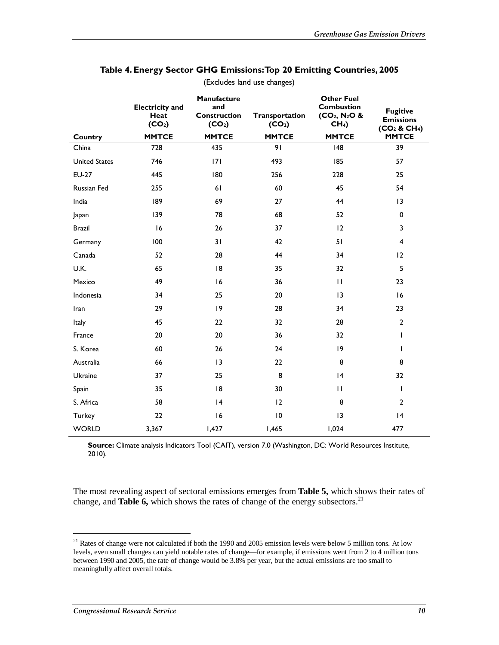| Country              | <b>Electricity and</b><br>Heat<br>(CO <sub>2</sub> )<br><b>MMTCE</b> | Manufacture<br>and<br><b>Construction</b><br>(CO <sub>2</sub> )<br><b>MMTCE</b> | Transportation<br>(CO <sub>2</sub> )<br><b>MMTCE</b> | <b>Other Fuel</b><br><b>Combustion</b><br>$(CO_2, N_2O &$<br>CH <sub>4</sub><br><b>MMTCE</b> | <b>Fugitive</b><br><b>Emissions</b><br>(CO <sub>2</sub> & CH <sub>4</sub> )<br><b>MMTCE</b> |
|----------------------|----------------------------------------------------------------------|---------------------------------------------------------------------------------|------------------------------------------------------|----------------------------------------------------------------------------------------------|---------------------------------------------------------------------------------------------|
| China                | 728                                                                  | 435                                                                             | 91                                                   | 48                                                                                           | 39                                                                                          |
| <b>United States</b> | 746                                                                  | 171                                                                             | 493                                                  | 185                                                                                          | 57                                                                                          |
| <b>EU-27</b>         | 445                                                                  | 180                                                                             | 256                                                  | 228                                                                                          | 25                                                                                          |
| Russian Fed          | 255                                                                  | 61                                                                              | 60                                                   | 45                                                                                           | 54                                                                                          |
| India                | 189                                                                  | 69                                                                              | 27                                                   | 44                                                                                           | 3                                                                                           |
| Japan                | 139                                                                  | 78                                                                              | 68                                                   | 52                                                                                           | $\pmb{0}$                                                                                   |
| <b>Brazil</b>        | 16                                                                   | 26                                                                              | 37                                                   | 12                                                                                           | 3                                                                                           |
| Germany              | 100                                                                  | 31                                                                              | 42                                                   | 51                                                                                           | $\overline{4}$                                                                              |
| Canada               | 52                                                                   | 28                                                                              | 44                                                   | 34                                                                                           | 12                                                                                          |
| U.K.                 | 65                                                                   | 8                                                                               | 35                                                   | 32                                                                                           | 5                                                                                           |
| Mexico               | 49                                                                   | 16                                                                              | 36                                                   | $\mathbf{H}$                                                                                 | 23                                                                                          |
| Indonesia            | 34                                                                   | 25                                                                              | 20                                                   | 13                                                                                           | 16                                                                                          |
| Iran                 | 29                                                                   | 9                                                                               | 28                                                   | 34                                                                                           | 23                                                                                          |
| Italy                | 45                                                                   | 22                                                                              | 32                                                   | 28                                                                                           | $\mathbf{2}$                                                                                |
| France               | 20                                                                   | 20                                                                              | 36                                                   | 32                                                                                           | I                                                                                           |
| S. Korea             | 60                                                                   | 26                                                                              | 24                                                   | 9                                                                                            | $\mathbf{I}$                                                                                |
| Australia            | 66                                                                   | $\overline{13}$                                                                 | 22                                                   | 8                                                                                            | 8                                                                                           |
| Ukraine              | 37                                                                   | 25                                                                              | 8                                                    | 4                                                                                            | 32                                                                                          |
| Spain                | 35                                                                   | 8                                                                               | 30                                                   | $\mathbf{H}$                                                                                 | T                                                                                           |
| S. Africa            | 58                                                                   | 4                                                                               | 12                                                   | 8                                                                                            | $\overline{2}$                                                                              |
| Turkey               | 22                                                                   | 16                                                                              | $\overline{10}$                                      | 13                                                                                           | 4                                                                                           |
| <b>WORLD</b>         | 3,367                                                                | 1,427                                                                           | 1,465                                                | 1,024                                                                                        | 477                                                                                         |

#### **Table 4. Energy Sector GHG Emissions: Top 20 Emitting Countries, 2005**  (Excludes land use changes)

**Source:** Climate analysis Indicators Tool (CAIT), version 7.0 (Washington, DC: World Resources Institute, 2010).

The most revealing aspect of sectoral emissions emerges from **Table 5,** which shows their rates of change, and **Table 6,** which shows the rates of change of the energy subsectors.<sup>21</sup>

 $21$  Rates of change were not calculated if both the 1990 and 2005 emission levels were below 5 million tons. At low levels, even small changes can yield notable rates of change—for example, if emissions went from 2 to 4 million tons between 1990 and 2005, the rate of change would be 3.8% per year, but the actual emissions are too small to meaningfully affect overall totals.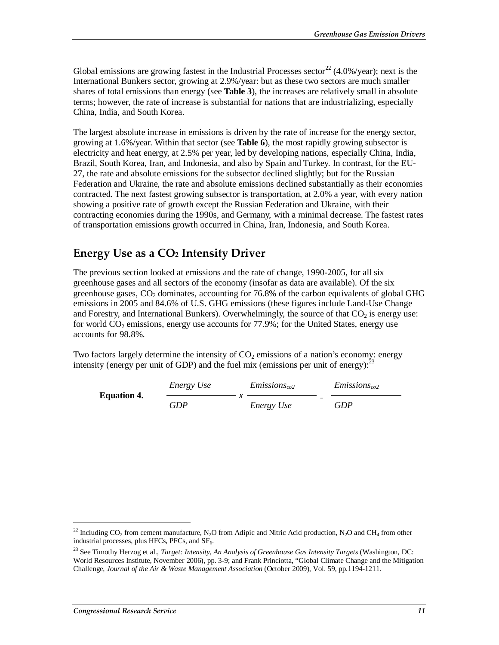Global emissions are growing fastest in the Industrial Processes sector<sup>22</sup> (4.0%/year); next is the International Bunkers sector, growing at 2.9%/year: but as these two sectors are much smaller shares of total emissions than energy (see **Table 3**), the increases are relatively small in absolute terms; however, the rate of increase is substantial for nations that are industrializing, especially China, India, and South Korea.

The largest absolute increase in emissions is driven by the rate of increase for the energy sector, growing at 1.6%/year. Within that sector (see **Table 6**), the most rapidly growing subsector is electricity and heat energy, at 2.5% per year, led by developing nations, especially China, India, Brazil, South Korea, Iran, and Indonesia, and also by Spain and Turkey. In contrast, for the EU-27, the rate and absolute emissions for the subsector declined slightly; but for the Russian Federation and Ukraine, the rate and absolute emissions declined substantially as their economies contracted. The next fastest growing subsector is transportation, at 2.0% a year, with every nation showing a positive rate of growth except the Russian Federation and Ukraine, with their contracting economies during the 1990s, and Germany, with a minimal decrease. The fastest rates of transportation emissions growth occurred in China, Iran, Indonesia, and South Korea.

### **Energy Use as a CO2 Intensity Driver**

The previous section looked at emissions and the rate of change, 1990-2005, for all six greenhouse gases and all sectors of the economy (insofar as data are available). Of the six greenhouse gases,  $CO<sub>2</sub>$  dominates, accounting for 76.8% of the carbon equivalents of global GHG emissions in 2005 and 84.6% of U.S. GHG emissions (these figures include Land-Use Change and Forestry, and International Bunkers). Overwhelmingly, the source of that  $CO<sub>2</sub>$  is energy use: for world  $CO<sub>2</sub>$  emissions, energy use accounts for 77.9%; for the United States, energy use accounts for 98.8%.

Two factors largely determine the intensity of  $CO<sub>2</sub>$  emissions of a nation's economy: energy intensity (energy per unit of GDP) and the fuel mix (emissions per unit of energy):  $^{23}$ 

|                    | <i>Energy Use</i> | $E$ missions <sub>co2</sub> |                          | $Emissions_{co2}$ |
|--------------------|-------------------|-----------------------------|--------------------------|-------------------|
| <b>Equation 4.</b> | GDP               | Energy Use                  | $\overline{\phantom{a}}$ | GDP               |

<sup>&</sup>lt;sup>22</sup> Including CO<sub>2</sub> from cement manufacture, N<sub>2</sub>O from Adipic and Nitric Acid production, N<sub>2</sub>O and CH<sub>4</sub> from other industrial processes, plus HFCs, PFCs, and  $SF<sub>6</sub>$ .

<sup>23</sup> See Timothy Herzog et al., *Target: Intensity, An Analysis of Greenhouse Gas Intensity Targets* (Washington, DC: World Resources Institute, November 2006), pp. 3-9; and Frank Princiotta, "Global Climate Change and the Mitigation Challenge, *Journal of the Air & Waste Management Association* (October 2009), Vol. 59, pp.1194-1211.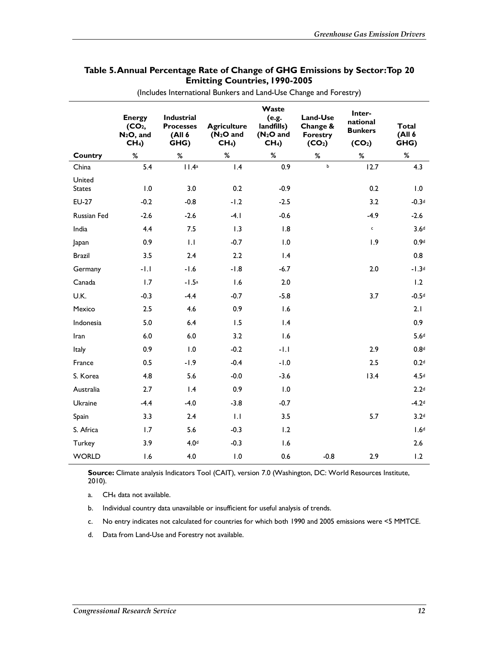|                         | <b>Energy</b><br>(CO <sub>2</sub> )<br>$N_2O$ , and<br>CH <sub>4</sub> | Industrial<br><b>Processes</b><br>(All 6<br>GHG) | <b>Agriculture</b><br>$(N_2O$ and<br>CH <sub>4</sub> | Waste<br>(e.g.<br>landfills)<br>$(N_2O$ and<br>CH <sub>4</sub> | Land-Use<br>Change &<br><b>Forestry</b><br>(CO <sub>2</sub> ) | Inter-<br>national<br><b>Bunkers</b><br>(CO <sub>2</sub> ) | <b>Total</b><br>(A   6)<br>GHG) |
|-------------------------|------------------------------------------------------------------------|--------------------------------------------------|------------------------------------------------------|----------------------------------------------------------------|---------------------------------------------------------------|------------------------------------------------------------|---------------------------------|
| Country                 | %                                                                      | $\%$                                             | %                                                    | $\%$                                                           | %                                                             | $\%$                                                       | %                               |
| China                   | 5.4                                                                    | 11.4a                                            | 1.4                                                  | 0.9                                                            | $\mathbf b$                                                   | 12.7                                                       | 4.3                             |
| United<br><b>States</b> | 1.0                                                                    | 3.0                                              | 0.2                                                  | $-0.9$                                                         |                                                               | 0.2                                                        | 1.0                             |
| <b>EU-27</b>            | $-0.2$                                                                 | $-0.8$                                           | $-1.2$                                               | $-2.5$                                                         |                                                               | 3.2                                                        | $-0.3d$                         |
| Russian Fed             | $-2.6$                                                                 | $-2.6$                                           | $-4.1$                                               | $-0.6$                                                         |                                                               | $-4.9$                                                     | $-2.6$                          |
| India                   | 4.4                                                                    | 7.5                                              | 1.3                                                  | 1.8                                                            |                                                               | $\mathsf{c}$                                               | 3.6 <sup>d</sup>                |
| Japan                   | 0.9                                                                    | 1.1                                              | $-0.7$                                               | 1.0                                                            |                                                               | 1.9                                                        | 0.9d                            |
| <b>Brazil</b>           | 3.5                                                                    | 2.4                                              | 2.2                                                  | $\mathsf{I}$ .4                                                |                                                               |                                                            | 0.8                             |
| Germany                 | $-1.1$                                                                 | $-1.6$                                           | $-1.8$                                               | $-6.7$                                                         |                                                               | 2.0                                                        | $-1.3d$                         |
| Canada                  | 1.7                                                                    | $-1.5a$                                          | 1.6                                                  | 2.0                                                            |                                                               |                                                            | 1.2                             |
| U.K.                    | $-0.3$                                                                 | $-4.4$                                           | $-0.7$                                               | $-5.8$                                                         |                                                               | 3.7                                                        | $-0.5d$                         |
| Mexico                  | 2.5                                                                    | 4.6                                              | 0.9                                                  | 1.6                                                            |                                                               |                                                            | 2.1                             |
| Indonesia               | 5.0                                                                    | 6.4                                              | 1.5                                                  | $\mathsf{I}$ .4                                                |                                                               |                                                            | 0.9                             |
| Iran                    | $6.0$                                                                  | $6.0\,$                                          | 3.2                                                  | 1.6                                                            |                                                               |                                                            | 5.6 <sup>d</sup>                |
| Italy                   | 0.9                                                                    | 1.0                                              | $-0.2$                                               | $-1.1$                                                         |                                                               | 2.9                                                        | 0.8 <sup>d</sup>                |
| France                  | 0.5                                                                    | $-1.9$                                           | $-0.4$                                               | $-1.0$                                                         |                                                               | 2.5                                                        | 0.2 <sup>d</sup>                |
| S. Korea                | 4.8                                                                    | 5.6                                              | $-0.0$                                               | $-3.6$                                                         |                                                               | 13.4                                                       | 4.5 <sup>d</sup>                |
| Australia               | 2.7                                                                    | 1.4                                              | 0.9                                                  | 1.0                                                            |                                                               |                                                            | 2.2 <sup>d</sup>                |
| Ukraine                 | $-4.4$                                                                 | $-4.0$                                           | $-3.8$                                               | $-0.7$                                                         |                                                               |                                                            | $-4.2d$                         |
| Spain                   | 3.3                                                                    | 2.4                                              | 1.1                                                  | 3.5                                                            |                                                               | 5.7                                                        | 3.2 <sup>d</sup>                |
| S. Africa               | 1.7                                                                    | 5.6                                              | $-0.3$                                               | 1.2                                                            |                                                               |                                                            | 1.6 <sup>d</sup>                |
| Turkey                  | 3.9                                                                    | 4.0 <sup>d</sup>                                 | $-0.3$                                               | 1.6                                                            |                                                               |                                                            | 2.6                             |
| <b>WORLD</b>            | 1.6                                                                    | 4.0                                              | 1.0                                                  | 0.6                                                            | $-0.8$                                                        | 2.9                                                        | 1.2                             |

#### **Table 5. Annual Percentage Rate of Change of GHG Emissions by Sector: Top 20 Emitting Countries, 1990-2005**

(Includes International Bunkers and Land-Use Change and Forestry)

**Source:** Climate analysis Indicators Tool (CAIT), version 7.0 (Washington, DC: World Resources Institute, 2010).

a. CH4 data not available.

b. Individual country data unavailable or insufficient for useful analysis of trends.

c. No entry indicates not calculated for countries for which both 1990 and 2005 emissions were <5 MMTCE.

d. Data from Land-Use and Forestry not available.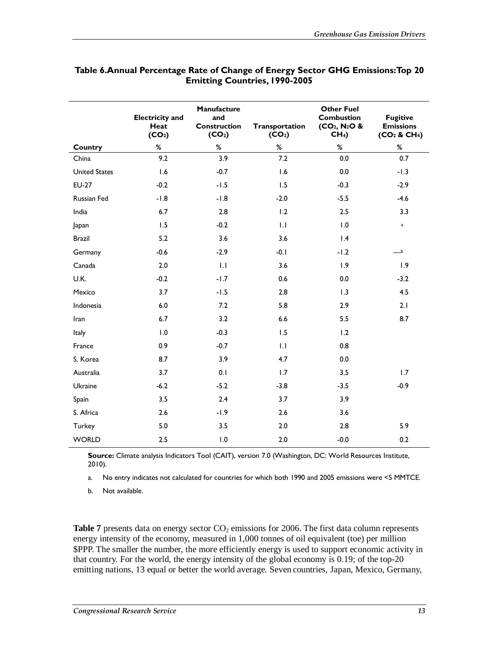|                      | <b>Electricity and</b><br>Heat<br>(CO <sub>2</sub> ) | Manufacture<br>and<br><b>Construction</b><br>(CO <sub>2</sub> ) | Transportation<br>(CO <sub>2</sub> ) | <b>Other Fuel</b><br><b>Combustion</b><br>$(CO_2, N_2O &$<br>CH <sub>4</sub> | <b>Fugitive</b><br><b>Emissions</b><br>(CO <sub>2</sub> & CH <sub>4</sub> ) |
|----------------------|------------------------------------------------------|-----------------------------------------------------------------|--------------------------------------|------------------------------------------------------------------------------|-----------------------------------------------------------------------------|
| Country              | $\%$                                                 | $\%$                                                            | %                                    | $\%$                                                                         | %                                                                           |
| China                | 9.2                                                  | 3.9                                                             | 7.2                                  | 0.0                                                                          | 0.7                                                                         |
| <b>United States</b> | 1.6                                                  | $-0.7$                                                          | 1.6                                  | 0.0                                                                          | $-1.3$                                                                      |
| <b>EU-27</b>         | $-0.2$                                               | $-1.5$                                                          | 1.5                                  | $-0.3$                                                                       | $-2.9$                                                                      |
| Russian Fed          | $-1.8$                                               | $-1.8$                                                          | $-2.0$                               | $-5.5$                                                                       | $-4.6$                                                                      |
| India                | $6.7$                                                | 2.8                                                             | 1.2                                  | 2.5                                                                          | 3.3                                                                         |
| Japan                | 1.5                                                  | $-0.2$                                                          | 1.1                                  | 1.0                                                                          | $\mathbf{a}$                                                                |
| <b>Brazil</b>        | 5.2                                                  | 3.6                                                             | 3.6                                  | $\mathsf{I}$ .4                                                              |                                                                             |
| Germany              | $-0.6$                                               | $-2.9$                                                          | $-0.1$                               | $-1.2$                                                                       | _b                                                                          |
| Canada               | $2.0$                                                | 1.1                                                             | 3.6                                  | 1.9                                                                          | 1.9                                                                         |
| U.K.                 | $-0.2$                                               | $-1.7$                                                          | 0.6                                  | 0.0                                                                          | $-3.2$                                                                      |
| Mexico               | 3.7                                                  | $-1.5$                                                          | 2.8                                  | 1.3                                                                          | 4.5                                                                         |
| Indonesia            | $6.0\,$                                              | 7.2                                                             | 5.8                                  | 2.9                                                                          | 2.1                                                                         |
| Iran                 | $6.7$                                                | 3.2                                                             | 6.6                                  | 5.5                                                                          | 8.7                                                                         |
| Italy                | 1.0                                                  | $-0.3$                                                          | 1.5                                  | 1.2                                                                          |                                                                             |
| France               | 0.9                                                  | $-0.7$                                                          | 1.1                                  | 0.8                                                                          |                                                                             |
| S. Korea             | 8.7                                                  | 3.9                                                             | 4.7                                  | 0.0                                                                          |                                                                             |
| Australia            | 3.7                                                  | 0.1                                                             | 1.7                                  | 3.5                                                                          | 1.7                                                                         |
| Ukraine              | $-6.2$                                               | $-5.2$                                                          | $-3.8$                               | $-3.5$                                                                       | $-0.9$                                                                      |
| Spain                | 3.5                                                  | 2.4                                                             | 3.7                                  | 3.9                                                                          |                                                                             |
| S. Africa            | 2.6                                                  | $-1.9$                                                          | 2.6                                  | 3.6                                                                          |                                                                             |
| Turkey               | $5.0$                                                | 3.5                                                             | 2.0                                  | 2.8                                                                          | 5.9                                                                         |
| <b>WORLD</b>         | 2.5                                                  | 1.0                                                             | 2.0                                  | $-0.0$                                                                       | 0.2                                                                         |

#### **Table 6.Annual Percentage Rate of Change of Energy Sector GHG Emissions: Top 20 Emitting Countries, 1990-2005**

**Source:** Climate analysis Indicators Tool (CAIT), version 7.0 (Washington, DC: World Resources Institute, 2010).

a. No entry indicates not calculated for countries for which both 1990 and 2005 emissions were <5 MMTCE.

b. Not available.

**Table 7** presents data on energy sector  $CO<sub>2</sub>$  emissions for 2006. The first data column represents energy intensity of the economy, measured in 1,000 tonnes of oil equivalent (toe) per million \$PPP. The smaller the number, the more efficiently energy is used to support economic activity in that country. For the world, the energy intensity of the global economy is 0.19; of the top-20 emitting nations, 13 equal or better the world average. Seven countries, Japan, Mexico, Germany,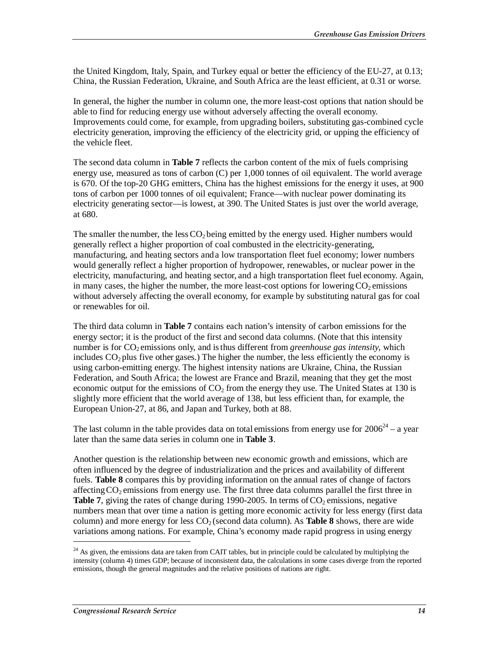the United Kingdom, Italy, Spain, and Turkey equal or better the efficiency of the EU-27, at 0.13; China, the Russian Federation, Ukraine, and South Africa are the least efficient, at 0.31 or worse.

In general, the higher the number in column one, the more least-cost options that nation should be able to find for reducing energy use without adversely affecting the overall economy. Improvements could come, for example, from upgrading boilers, substituting gas-combined cycle electricity generation, improving the efficiency of the electricity grid, or upping the efficiency of the vehicle fleet.

The second data column in **Table 7** reflects the carbon content of the mix of fuels comprising energy use, measured as tons of carbon (C) per 1,000 tonnes of oil equivalent. The world average is 670. Of the top-20 GHG emitters, China has the highest emissions for the energy it uses, at 900 tons of carbon per 1000 tonnes of oil equivalent; France—with nuclear power dominating its electricity generating sector—is lowest, at 390. The United States is just over the world average, at 680.

The smaller the number, the less  $CO<sub>2</sub>$  being emitted by the energy used. Higher numbers would generally reflect a higher proportion of coal combusted in the electricity-generating, manufacturing, and heating sectors and a low transportation fleet fuel economy; lower numbers would generally reflect a higher proportion of hydropower, renewables, or nuclear power in the electricity, manufacturing, and heating sector, and a high transportation fleet fuel economy. Again, in many cases, the higher the number, the more least-cost options for lowering  $CO<sub>2</sub>$  emissions without adversely affecting the overall economy, for example by substituting natural gas for coal or renewables for oil.

The third data column in **Table 7** contains each nation's intensity of carbon emissions for the energy sector; it is the product of the first and second data columns. (Note that this intensity number is for CO<sub>2</sub> emissions only, and is thus different from *greenhouse gas intensity*, which includes  $CO<sub>2</sub>$  plus five other gases.) The higher the number, the less efficiently the economy is using carbon-emitting energy. The highest intensity nations are Ukraine, China, the Russian Federation, and South Africa; the lowest are France and Brazil, meaning that they get the most economic output for the emissions of  $CO<sub>2</sub>$  from the energy they use. The United States at 130 is slightly more efficient that the world average of 138, but less efficient than, for example, the European Union-27, at 86, and Japan and Turkey, both at 88.

The last column in the table provides data on total emissions from energy use for  $2006^{24}$  – a year later than the same data series in column one in **Table 3**.

Another question is the relationship between new economic growth and emissions, which are often influenced by the degree of industrialization and the prices and availability of different fuels. **Table 8** compares this by providing information on the annual rates of change of factors affecting  $CO<sub>2</sub>$  emissions from energy use. The first three data columns parallel the first three in **Table 7**, giving the rates of change during  $1990-2005$ . In terms of  $CO<sub>2</sub>$  emissions, negative numbers mean that over time a nation is getting more economic activity for less energy (first data column) and more energy for less  $CO<sub>2</sub>$  (second data column). As **Table 8** shows, there are wide variations among nations. For example, China's economy made rapid progress in using energy

<sup>&</sup>lt;sup>24</sup> As given, the emissions data are taken from CAIT tables, but in principle could be calculated by multiplying the intensity (column 4) times GDP; because of inconsistent data, the calculations in some cases diverge from the reported emissions, though the general magnitudes and the relative positions of nations are right.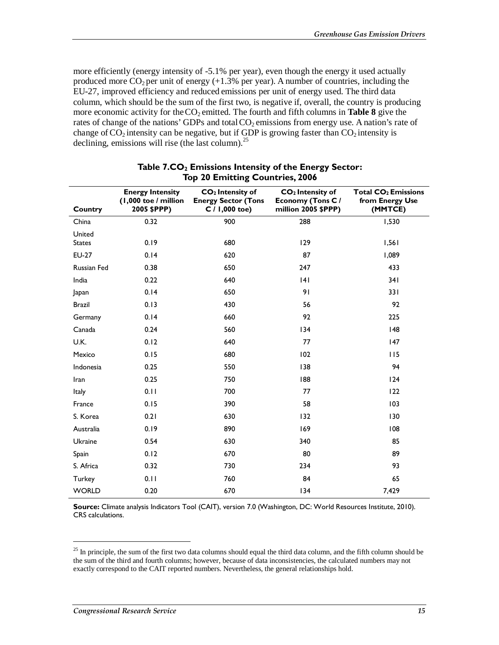more efficiently (energy intensity of -5.1% per year), even though the energy it used actually produced more  $CO<sub>2</sub>$  per unit of energy (+1.3% per year). A number of countries, including the EU-27, improved efficiency and reduced emissions per unit of energy used. The third data column, which should be the sum of the first two, is negative if, overall, the country is producing more economic activity for the  $CO_2$  emitted. The fourth and fifth columns in **Table 8** give the rates of change of the nations' GDPs and total  $CO<sub>2</sub>$  emissions from energy use. A nation's rate of change of  $CO<sub>2</sub>$  intensity can be negative, but if GDP is growing faster than  $CO<sub>2</sub>$  intensity is declining, emissions will rise (the last column). $^{25}$ 

| Country                 | <b>Energy Intensity</b><br>(1,000 toe / million<br>2005 \$PPP) | CO <sub>2</sub> Intensity of<br><b>Energy Sector (Tons</b><br>$C / 1,000$ toe) | CO <sub>2</sub> Intensity of<br><b>Economy (Tons C/</b><br>million 2005 \$PPP) | Total CO <sub>2</sub> Emissions<br>from Energy Use<br>(MMTCE) |
|-------------------------|----------------------------------------------------------------|--------------------------------------------------------------------------------|--------------------------------------------------------------------------------|---------------------------------------------------------------|
| China                   | 0.32                                                           | 900                                                                            | 288                                                                            | 1,530                                                         |
| United<br><b>States</b> | 0.19                                                           | 680                                                                            | 129                                                                            | 1,561                                                         |
| <b>EU-27</b>            | 0.14                                                           | 620                                                                            | 87                                                                             | 1,089                                                         |
| <b>Russian Fed</b>      | 0.38                                                           | 650                                                                            | 247                                                                            | 433                                                           |
| India                   | 0.22                                                           | 640                                                                            | 4                                                                              | 341                                                           |
| Japan                   | 0.14                                                           | 650                                                                            | 91                                                                             | 331                                                           |
| <b>Brazil</b>           | 0.13                                                           | 430                                                                            | 56                                                                             | 92                                                            |
| Germany                 | 0.14                                                           | 660                                                                            | 92                                                                             | 225                                                           |
| Canada                  | 0.24                                                           | 560                                                                            | 134                                                                            | 148                                                           |
| U.K.                    | 0.12                                                           | 640                                                                            | 77                                                                             | 147                                                           |
| Mexico                  | 0.15                                                           | 680                                                                            | 102                                                                            | 115                                                           |
| Indonesia               | 0.25                                                           | 550                                                                            | 138                                                                            | 94                                                            |
| Iran                    | 0.25                                                           | 750                                                                            | 188                                                                            | 124                                                           |
| Italy                   | 0.11                                                           | 700                                                                            | 77                                                                             | 122                                                           |
| France                  | 0.15                                                           | 390                                                                            | 58                                                                             | 103                                                           |
| S. Korea                | 0.21                                                           | 630                                                                            | 132                                                                            | 130                                                           |
| Australia               | 0.19                                                           | 890                                                                            | 169                                                                            | 108                                                           |
| Ukraine                 | 0.54                                                           | 630                                                                            | 340                                                                            | 85                                                            |
| Spain                   | 0.12                                                           | 670                                                                            | 80                                                                             | 89                                                            |
| S. Africa               | 0.32                                                           | 730                                                                            | 234                                                                            | 93                                                            |
| Turkey                  | 0.11                                                           | 760                                                                            | 84                                                                             | 65                                                            |
| <b>WORLD</b>            | 0.20                                                           | 670                                                                            | 134                                                                            | 7,429                                                         |

#### Table 7.CO<sub>2</sub> Emissions Intensity of the Energy Sector:  **Top 20 Emitting Countries, 2006**

**Source:** Climate analysis Indicators Tool (CAIT), version 7.0 (Washington, DC: World Resources Institute, 2010). CRS calculations.

 $25$  In principle, the sum of the first two data columns should equal the third data column, and the fifth column should be the sum of the third and fourth columns; however, because of data inconsistencies, the calculated numbers may not exactly correspond to the CAIT reported numbers. Nevertheless, the general relationships hold.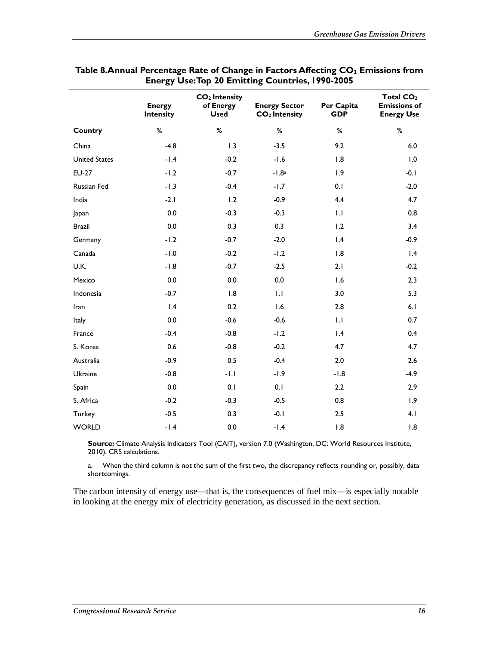|                      | <b>Energy</b><br><b>Intensity</b> | $CO2$ Intensity<br>of Energy<br><b>Used</b> | <b>Energy Sector</b><br>CO <sub>2</sub> Intensity | Per Capita<br><b>GDP</b> | Total CO <sub>2</sub><br><b>Emissions of</b><br><b>Energy Use</b> |
|----------------------|-----------------------------------|---------------------------------------------|---------------------------------------------------|--------------------------|-------------------------------------------------------------------|
| Country              | $\%$                              | $\%$                                        | %                                                 | %                        | $\%$                                                              |
| China                | $-4.8$                            | 1.3                                         | $-3.5$                                            | 9.2                      | 6.0                                                               |
| <b>United States</b> | $-1.4$                            | $-0.2$                                      | $-1.6$                                            | 1.8                      | 1.0                                                               |
| <b>EU-27</b>         | $-1.2$                            | $-0.7$                                      | $-1.8a$                                           | 1.9                      | $-0.1$                                                            |
| Russian Fed          | $-1.3$                            | $-0.4$                                      | $-1.7$                                            | 0.1                      | $-2.0$                                                            |
| India                | $-2.1$                            | 1.2                                         | $-0.9$                                            | 4.4                      | 4.7                                                               |
| Japan                | 0.0                               | $-0.3$                                      | $-0.3$                                            | 1.1                      | 0.8                                                               |
| <b>Brazil</b>        | 0.0                               | 0.3                                         | 0.3                                               | 1.2                      | 3.4                                                               |
| Germany              | $-1.2$                            | $-0.7$                                      | $-2.0$                                            | $\mathsf{I}$ .4          | $-0.9$                                                            |
| Canada               | $-1.0$                            | $-0.2$                                      | $-1.2$                                            | 1.8                      | 1.4                                                               |
| U.K.                 | $-1.8$                            | $-0.7$                                      | $-2.5$                                            | 2.1                      | $-0.2$                                                            |
| Mexico               | $0.0\,$                           | 0.0                                         | 0.0                                               | 1.6                      | 2.3                                                               |
| Indonesia            | $-0.7$                            | 1.8                                         | 1.1                                               | 3.0                      | 5.3                                                               |
| Iran                 | 1.4                               | 0.2                                         | 1.6                                               | 2.8                      | 6.1                                                               |
| Italy                | 0.0                               | $-0.6$                                      | $-0.6$                                            | 1.1                      | 0.7                                                               |
| France               | $-0.4$                            | $-0.8$                                      | $-1.2$                                            | 1.4                      | 0.4                                                               |
| S. Korea             | 0.6                               | $-0.8$                                      | $-0.2$                                            | 4.7                      | 4.7                                                               |
| Australia            | $-0.9$                            | 0.5                                         | $-0.4$                                            | 2.0                      | 2.6                                                               |
| Ukraine              | $-0.8$                            | $-1.1$                                      | $-1.9$                                            | $-1.8$                   | $-4.9$                                                            |
| Spain                | $0.0\,$                           | 0.1                                         | 0.1                                               | 2.2                      | 2.9                                                               |
| S. Africa            | $-0.2$                            | $-0.3$                                      | $-0.5$                                            | 0.8                      | 1.9                                                               |
| Turkey               | $-0.5$                            | 0.3                                         | $-0.1$                                            | 2.5                      | 4.1                                                               |
| <b>WORLD</b>         | $-1.4$                            | 0.0                                         | $-1.4$                                            | 1.8                      | 1.8                                                               |

#### Table 8.Annual Percentage Rate of Change in Factors Affecting CO<sub>2</sub> Emissions from **Energy Use: Top 20 Emitting Countries, 1990-2005**

Source: Climate Analysis Indicators Tool (CAIT), version 7.0 (Washington, DC: World Resources Institute, 2010). CRS calculations.

a. When the third column is not the sum of the first two, the discrepancy reflects rounding or, possibly, data shortcomings.

The carbon intensity of energy use—that is, the consequences of fuel mix—is especially notable in looking at the energy mix of electricity generation, as discussed in the next section.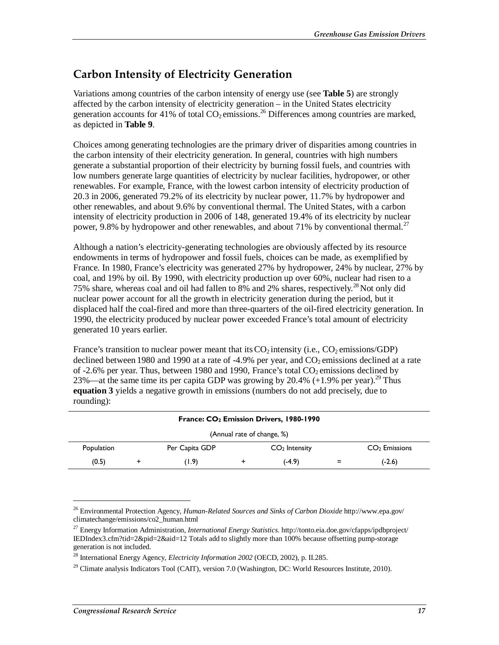### **Carbon Intensity of Electricity Generation**

Variations among countries of the carbon intensity of energy use (see **Table 5**) are strongly affected by the carbon intensity of electricity generation – in the United States electricity generation accounts for 41% of total  $CO<sub>2</sub>$  emissions.<sup>26</sup> Differences among countries are marked, as depicted in **Table 9**.

Choices among generating technologies are the primary driver of disparities among countries in the carbon intensity of their electricity generation. In general, countries with high numbers generate a substantial proportion of their electricity by burning fossil fuels, and countries with low numbers generate large quantities of electricity by nuclear facilities, hydropower, or other renewables. For example, France, with the lowest carbon intensity of electricity production of 20.3 in 2006, generated 79.2% of its electricity by nuclear power, 11.7% by hydropower and other renewables, and about 9.6% by conventional thermal. The United States, with a carbon intensity of electricity production in 2006 of 148, generated 19.4% of its electricity by nuclear power, 9.8% by hydropower and other renewables, and about 71% by conventional thermal.<sup>27</sup>

Although a nation's electricity-generating technologies are obviously affected by its resource endowments in terms of hydropower and fossil fuels, choices can be made, as exemplified by France. In 1980, France's electricity was generated 27% by hydropower, 24% by nuclear, 27% by coal, and 19% by oil. By 1990, with electricity production up over 60%, nuclear had risen to a 75% share, whereas coal and oil had fallen to 8% and 2% shares, respectively.<sup>28</sup> Not only did nuclear power account for all the growth in electricity generation during the period, but it displaced half the coal-fired and more than three-quarters of the oil-fired electricity generation. In 1990, the electricity produced by nuclear power exceeded France's total amount of electricity generated 10 years earlier.

France's transition to nuclear power meant that its  $CO<sub>2</sub>$  intensity (i.e.,  $CO<sub>2</sub>$  emissions/GDP) declined between 1980 and 1990 at a rate of  $-4.9\%$  per year, and CO<sub>2</sub> emissions declined at a rate of -2.6% per year. Thus, between 1980 and 1990, France's total  $CO<sub>2</sub>$  emissions declined by 23%—at the same time its per capita GDP was growing by 20.4%  $(+1.9%$  per year).<sup>29</sup> Thus **equation 3** yields a negative growth in emissions (numbers do not add precisely, due to rounding):

| France: CO <sub>2</sub> Emission Drivers, 1980-1990 |                            |                |  |                 |     |                 |
|-----------------------------------------------------|----------------------------|----------------|--|-----------------|-----|-----------------|
|                                                     | (Annual rate of change, %) |                |  |                 |     |                 |
| Population                                          |                            | Per Capita GDP |  | $CO2$ Intensity |     | $CO2$ Emissions |
| (0.5)                                               |                            | (1.9)          |  | $(-4.9)$        | $=$ | $(-2.6)$        |

<sup>26</sup> Environmental Protection Agency, *Human-Related Sources and Sinks of Carbon Dioxide* http://www.epa.gov/ climatechange/emissions/co2\_human.html

<sup>27</sup> Energy Information Administration, *International Energy Statistics.* http://tonto.eia.doe.gov/cfapps/ipdbproject/ IEDIndex3.cfm?tid=2&pid=2&aid=12 Totals add to slightly more than 100% because offsetting pump-storage generation is not included.

<sup>28</sup> International Energy Agency, *Electricity Information 2002* (OECD, 2002), p. II.285.

<sup>&</sup>lt;sup>29</sup> Climate analysis Indicators Tool (CAIT), version 7.0 (Washington, DC: World Resources Institute, 2010).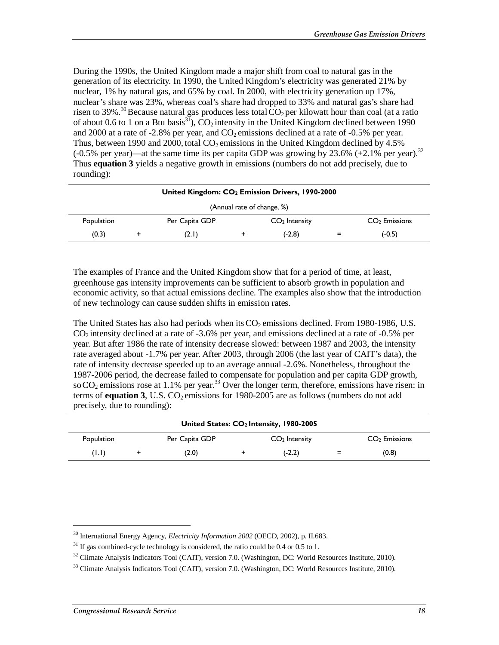During the 1990s, the United Kingdom made a major shift from coal to natural gas in the generation of its electricity. In 1990, the United Kingdom's electricity was generated 21% by nuclear, 1% by natural gas, and 65% by coal. In 2000, with electricity generation up 17%, nuclear's share was 23%, whereas coal's share had dropped to 33% and natural gas's share had risen to 39%.<sup>30</sup> Because natural gas produces less total  $CO_2$  per kilowatt hour than coal (at a ratio of about 0.6 to 1 on a Btu basis<sup>31</sup>),  $CO_2$  intensity in the United Kingdom declined between 1990 and 2000 at a rate of -2.8% per year, and  $CO<sub>2</sub>$  emissions declined at a rate of -0.5% per year. Thus, between 1990 and 2000, total  $CO<sub>2</sub>$  emissions in the United Kingdom declined by 4.5% (-0.5% per year)—at the same time its per capita GDP was growing by 23.6% (+2.1% per year).<sup>32</sup> Thus **equation 3** yields a negative growth in emissions (numbers do not add precisely, due to rounding):

| United Kingdom: CO <sub>2</sub> Emission Drivers, 1990-2000 |                            |                |  |                 |        |                 |
|-------------------------------------------------------------|----------------------------|----------------|--|-----------------|--------|-----------------|
|                                                             | (Annual rate of change, %) |                |  |                 |        |                 |
| Population                                                  |                            | Per Capita GDP |  | $CO2$ Intensity |        | $CO2$ Emissions |
| (0.3)                                                       |                            | (2.1)          |  | (-2.8)          | $\sim$ | $(-0.5)$        |

The examples of France and the United Kingdom show that for a period of time, at least, greenhouse gas intensity improvements can be sufficient to absorb growth in population and economic activity, so that actual emissions decline. The examples also show that the introduction of new technology can cause sudden shifts in emission rates.

The United States has also had periods when its  $CO<sub>2</sub>$  emissions declined. From 1980-1986, U.S.  $CO<sub>2</sub>$  intensity declined at a rate of -3.6% per year, and emissions declined at a rate of -0.5% per year. But after 1986 the rate of intensity decrease slowed: between 1987 and 2003, the intensity rate averaged about -1.7% per year. After 2003, through 2006 (the last year of CAIT's data), the rate of intensity decrease speeded up to an average annual -2.6%. Nonetheless, throughout the 1987-2006 period, the decrease failed to compensate for population and per capita GDP growth, so  $CO<sub>2</sub>$  emissions rose at 1.1% per year.<sup>33</sup> Over the longer term, therefore, emissions have risen: in terms of **equation 3**, U.S.  $CO<sub>2</sub>$  emissions for 1980-2005 are as follows (numbers do not add precisely, due to rounding):

|            | United States: CO <sub>2</sub> Intensity, 1980-2005 |                |  |                 |   |                 |
|------------|-----------------------------------------------------|----------------|--|-----------------|---|-----------------|
| Population |                                                     | Per Capita GDP |  | $CO2$ Intensity |   | $CO2$ Emissions |
| (1.1)      |                                                     | (2.0)          |  | $(-2.2)$        | = | (0.8)           |

<u>.</u>

<sup>30</sup> International Energy Agency, *Electricity Information 2002* (OECD, 2002), p. II.683.

 $31$  If gas combined-cycle technology is considered, the ratio could be 0.4 or 0.5 to 1.

 $32$  Climate Analysis Indicators Tool (CAIT), version 7.0. (Washington, DC: World Resources Institute, 2010).

 $33$  Climate Analysis Indicators Tool (CAIT), version 7.0. (Washington, DC: World Resources Institute, 2010).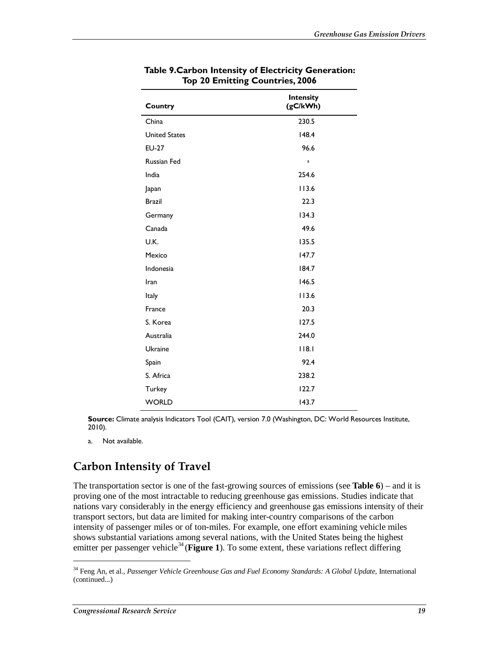| Country              | <b>Intensity</b><br>(gC/kWh) |
|----------------------|------------------------------|
| China                | 230.5                        |
| <b>United States</b> | 148.4                        |
| <b>EU-27</b>         | 96.6                         |
| <b>Russian Fed</b>   | a                            |
| India                | 254.6                        |
| Japan                | 113.6                        |
| <b>Brazil</b>        | 22.3                         |
| Germany              | 134.3                        |
| Canada               | 49.6                         |
| U.K.                 | 135.5                        |
| Mexico               | 147.7                        |
| Indonesia            | 184.7                        |
| Iran                 | 146.5                        |
| Italy                | 113.6                        |
| France               | 20.3                         |
| S. Korea             | 127.5                        |
| Australia            | 244.0                        |
| Ukraine              | 18.1                         |
| Spain                | 92.4                         |
| S. Africa            | 238.2                        |
| Turkey               | 122.7                        |
| <b>WORLD</b>         | 143.7                        |

#### **Table 9.Carbon Intensity of Electricity Generation: Top 20 Emitting Countries, 2006**

**Source:** Climate analysis Indicators Tool (CAIT), version 7.0 (Washington, DC: World Resources Institute, 2010).

a. Not available.

### **Carbon Intensity of Travel**

The transportation sector is one of the fast-growing sources of emissions (see **Table 6**) – and it is proving one of the most intractable to reducing greenhouse gas emissions. Studies indicate that nations vary considerably in the energy efficiency and greenhouse gas emissions intensity of their transport sectors, but data are limited for making inter-country comparisons of the carbon intensity of passenger miles or of ton-miles. For example, one effort examining vehicle miles shows substantial variations among several nations, with the United States being the highest emitter per passenger vehicle<sup>34</sup> (**Figure 1**). To some extent, these variations reflect differing

<u>.</u>

<sup>34</sup> Feng An, et al., *Passenger Vehicle Greenhouse Gas and Fuel Economy Standards: A Global Update*, International (continued...)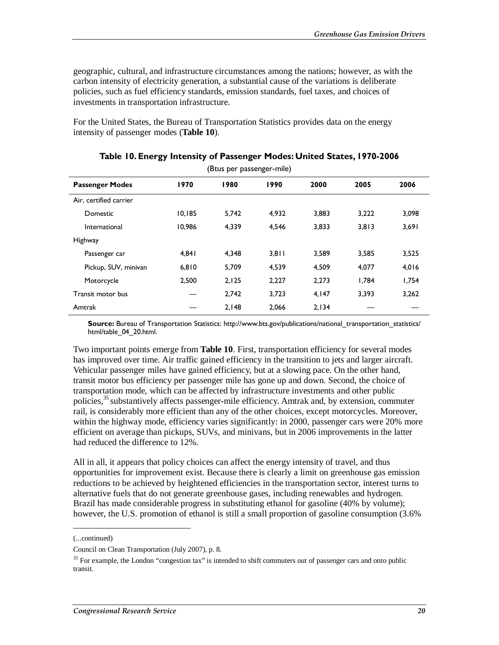geographic, cultural, and infrastructure circumstances among the nations; however, as with the carbon intensity of electricity generation, a substantial cause of the variations is deliberate policies, such as fuel efficiency standards, emission standards, fuel taxes, and choices of investments in transportation infrastructure.

For the United States, the Bureau of Transportation Statistics provides data on the energy intensity of passenger modes (**Table 10**).

| (Btus per passenger-mile) |        |       |       |       |       |       |
|---------------------------|--------|-------|-------|-------|-------|-------|
| <b>Passenger Modes</b>    | 1970   | 1980  | 1990  | 2000  | 2005  | 2006  |
| Air, certified carrier    |        |       |       |       |       |       |
| Domestic                  | 10.185 | 5.742 | 4.932 | 3.883 | 3.222 | 3.098 |
| International             | 10,986 | 4,339 | 4,546 | 3,833 | 3,813 | 3,691 |
| Highway                   |        |       |       |       |       |       |
| Passenger car             | 4.841  | 4.348 | 3.811 | 3.589 | 3,585 | 3,525 |
| Pickup, SUV, minivan      | 6,810  | 5,709 | 4,539 | 4,509 | 4,077 | 4,016 |
| Motorcycle                | 2,500  | 2,125 | 2,227 | 2,273 | 1.784 | 1.754 |
| Transit motor bus         |        | 2,742 | 3,723 | 4,147 | 3,393 | 3,262 |
| Amtrak                    |        | 2,148 | 2.066 | 2,134 |       |       |

|  |  |  |  |  | Table 10. Energy Intensity of Passenger Modes: United States, 1970-2006 |
|--|--|--|--|--|-------------------------------------------------------------------------|
|--|--|--|--|--|-------------------------------------------------------------------------|

**Source:** Bureau of Transportation Statistics: http://www.bts.gov/publications/national\_transportation\_statistics/ html/table\_04\_20.html.

Two important points emerge from **Table 10**. First, transportation efficiency for several modes has improved over time. Air traffic gained efficiency in the transition to jets and larger aircraft. Vehicular passenger miles have gained efficiency, but at a slowing pace. On the other hand, transit motor bus efficiency per passenger mile has gone up and down. Second, the choice of transportation mode, which can be affected by infrastructure investments and other public policies,<sup>35</sup> substantively affects passenger-mile efficiency. Amtrak and, by extension, commuter rail, is considerably more efficient than any of the other choices, except motorcycles. Moreover, within the highway mode, efficiency varies significantly: in 2000, passenger cars were 20% more efficient on average than pickups, SUVs, and minivans, but in 2006 improvements in the latter had reduced the difference to 12%.

All in all, it appears that policy choices can affect the energy intensity of travel, and thus opportunities for improvement exist. Because there is clearly a limit on greenhouse gas emission reductions to be achieved by heightened efficiencies in the transportation sector, interest turns to alternative fuels that do not generate greenhouse gases, including renewables and hydrogen. Brazil has made considerable progress in substituting ethanol for gasoline (40% by volume); however, the U.S. promotion of ethanol is still a small proportion of gasoline consumption (3.6%

<sup>(...</sup>continued)

Council on Clean Transportation (July 2007), p. 8.

<sup>&</sup>lt;sup>35</sup> For example, the London "congestion tax" is intended to shift commuters out of passenger cars and onto public transit.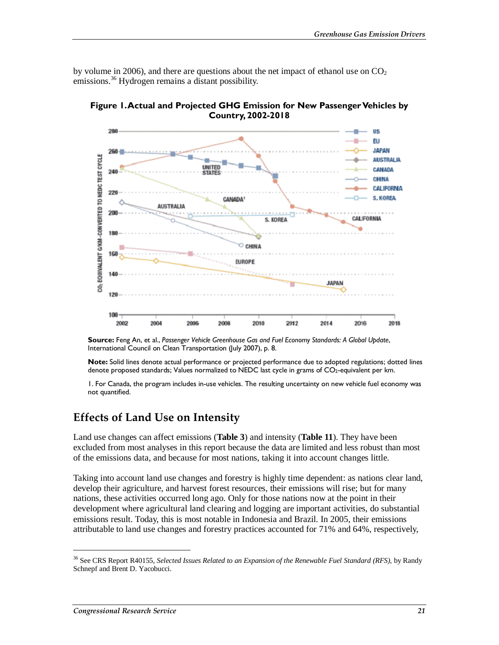by volume in 2006), and there are questions about the net impact of ethanol use on  $CO<sub>2</sub>$ emissions.<sup>36</sup> Hydrogen remains a distant possibility.



**Figure 1. Actual and Projected GHG Emission for New Passenger Vehicles by Country, 2002-2018** 

**Source:** Feng An, et al., *Passenger Vehicle Greenhouse Gas and Fuel Economy Standards: A Global Update*, International Council on Clean Transportation (July 2007), p. 8.

**Note:** Solid lines denote actual performance or projected performance due to adopted regulations; dotted lines denote proposed standards; Values normalized to NEDC last cycle in grams of CO2-equivalent per km.

1. For Canada, the program includes in-use vehicles. The resulting uncertainty on new vehicle fuel economy was not quantified.

### **Effects of Land Use on Intensity**

Land use changes can affect emissions (**Table 3**) and intensity (**Table 11**). They have been excluded from most analyses in this report because the data are limited and less robust than most of the emissions data, and because for most nations, taking it into account changes little.

Taking into account land use changes and forestry is highly time dependent: as nations clear land, develop their agriculture, and harvest forest resources, their emissions will rise; but for many nations, these activities occurred long ago. Only for those nations now at the point in their development where agricultural land clearing and logging are important activities, do substantial emissions result. Today, this is most notable in Indonesia and Brazil. In 2005, their emissions attributable to land use changes and forestry practices accounted for 71% and 64%, respectively,

<sup>36</sup> See CRS Report R40155, *Selected Issues Related to an Expansion of the Renewable Fuel Standard (RFS)*, by Randy Schnepf and Brent D. Yacobucci.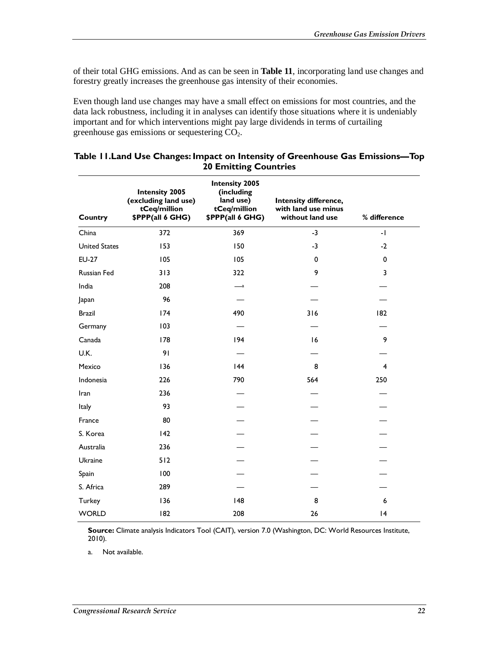of their total GHG emissions. And as can be seen in **Table 11**, incorporating land use changes and forestry greatly increases the greenhouse gas intensity of their economies.

Even though land use changes may have a small effect on emissions for most countries, and the data lack robustness, including it in analyses can identify those situations where it is undeniably important and for which interventions might pay large dividends in terms of curtailing greenhouse gas emissions or sequestering CO2.

| Country              | <b>Intensity 2005</b><br>(excluding land use)<br>tCeq/million<br>\$PPP(all 6 GHG) | <b>Intensity 2005</b><br>(including<br>land use)<br>tCeq/million<br>\$PPP(all 6 GHG) | Intensity difference,<br>with land use minus<br>without land use | % difference   |
|----------------------|-----------------------------------------------------------------------------------|--------------------------------------------------------------------------------------|------------------------------------------------------------------|----------------|
| China                | 372                                                                               | 369                                                                                  | $-3$                                                             | $-1$           |
| <b>United States</b> | 153                                                                               | 150                                                                                  | $-3$                                                             | $-2$           |
| <b>EU-27</b>         | 105                                                                               | 105                                                                                  | 0                                                                | $\mathbf 0$    |
| Russian Fed          | 313                                                                               | 322                                                                                  | 9                                                                | 3              |
| India                | 208                                                                               | $-a$                                                                                 |                                                                  |                |
| Japan                | 96                                                                                |                                                                                      |                                                                  |                |
| <b>Brazil</b>        | 174                                                                               | 490                                                                                  | 316                                                              | 182            |
| Germany              | 103                                                                               |                                                                                      |                                                                  |                |
| Canada               | 178                                                                               | 194                                                                                  | 16                                                               | 9              |
| U.K.                 | 91                                                                                |                                                                                      |                                                                  |                |
| Mexico               | 136                                                                               | 44                                                                                   | 8                                                                | $\overline{4}$ |
| Indonesia            | 226                                                                               | 790                                                                                  | 564                                                              | 250            |
| Iran                 | 236                                                                               |                                                                                      |                                                                  |                |
| Italy                | 93                                                                                |                                                                                      |                                                                  |                |
| France               | 80                                                                                |                                                                                      |                                                                  |                |
| S. Korea             | 142                                                                               |                                                                                      |                                                                  |                |
| Australia            | 236                                                                               |                                                                                      |                                                                  |                |
| Ukraine              | 512                                                                               |                                                                                      |                                                                  |                |
| Spain                | 100                                                                               |                                                                                      |                                                                  |                |
| S. Africa            | 289                                                                               |                                                                                      |                                                                  |                |
| Turkey               | 136                                                                               | 48                                                                                   | 8                                                                | 6              |
| <b>WORLD</b>         | 182                                                                               | 208                                                                                  | 26                                                               | 4              |

#### **Table 11.Land Use Changes: Impact on Intensity of Greenhouse Gas Emissions—Top 20 Emitting Countries**

**Source:** Climate analysis Indicators Tool (CAIT), version 7.0 (Washington, DC: World Resources Institute, 2010).

a. Not available.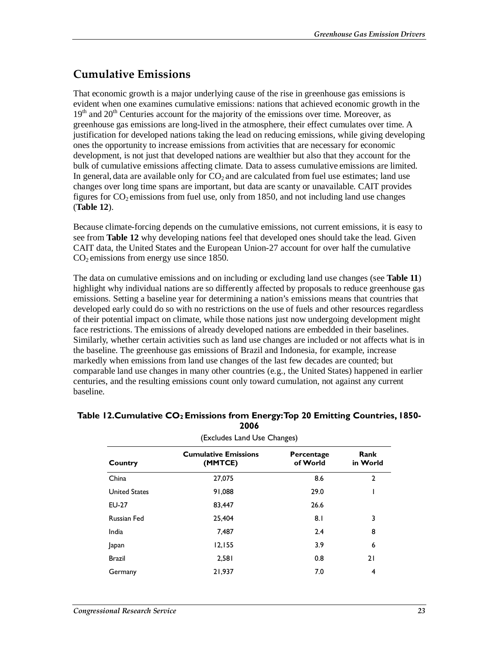### **Cumulative Emissions**

That economic growth is a major underlying cause of the rise in greenhouse gas emissions is evident when one examines cumulative emissions: nations that achieved economic growth in the  $19<sup>th</sup>$  and  $20<sup>th</sup>$  Centuries account for the majority of the emissions over time. Moreover, as greenhouse gas emissions are long-lived in the atmosphere, their effect cumulates over time. A justification for developed nations taking the lead on reducing emissions, while giving developing ones the opportunity to increase emissions from activities that are necessary for economic development, is not just that developed nations are wealthier but also that they account for the bulk of cumulative emissions affecting climate. Data to assess cumulative emissions are limited. In general, data are available only for  $CO<sub>2</sub>$  and are calculated from fuel use estimates; land use changes over long time spans are important, but data are scanty or unavailable. CAIT provides figures for  $CO<sub>2</sub>$  emissions from fuel use, only from 1850, and not including land use changes (**Table 12**).

Because climate-forcing depends on the cumulative emissions, not current emissions, it is easy to see from **Table 12** why developing nations feel that developed ones should take the lead. Given CAIT data, the United States and the European Union-27 account for over half the cumulative  $CO<sub>2</sub>$  emissions from energy use since 1850.

The data on cumulative emissions and on including or excluding land use changes (see **Table 11**) highlight why individual nations are so differently affected by proposals to reduce greenhouse gas emissions. Setting a baseline year for determining a nation's emissions means that countries that developed early could do so with no restrictions on the use of fuels and other resources regardless of their potential impact on climate, while those nations just now undergoing development might face restrictions. The emissions of already developed nations are embedded in their baselines. Similarly, whether certain activities such as land use changes are included or not affects what is in the baseline. The greenhouse gas emissions of Brazil and Indonesia, for example, increase markedly when emissions from land use changes of the last few decades are counted; but comparable land use changes in many other countries (e.g., the United States) happened in earlier centuries, and the resulting emissions count only toward cumulation, not against any current baseline.

| (Excludes Land Use Changes) |                                        |                        |                  |  |  |  |
|-----------------------------|----------------------------------------|------------------------|------------------|--|--|--|
| Country                     | <b>Cumulative Emissions</b><br>(MMTCE) | Percentage<br>of World | Rank<br>in World |  |  |  |
| China                       | 27.075                                 | 8.6                    | $\mathbf{2}$     |  |  |  |
| <b>United States</b>        | 91,088                                 | 29.0                   |                  |  |  |  |
| EU-27                       | 83,447                                 | 26.6                   |                  |  |  |  |
| <b>Russian Fed</b>          | 25,404                                 | 8.I                    | 3                |  |  |  |
| India                       | 7,487                                  | 2.4                    | 8                |  |  |  |
| Japan                       | 12,155                                 | 3.9                    | 6                |  |  |  |
| <b>Brazil</b>               | 2,581                                  | 0.8                    | 21               |  |  |  |
| Germany                     | 21.937                                 | 7.0                    | 4                |  |  |  |

#### **Table 12.Cumulative CO<sub>2</sub> Emissions from Energy: Top 20 Emitting Countries, 1850-2006**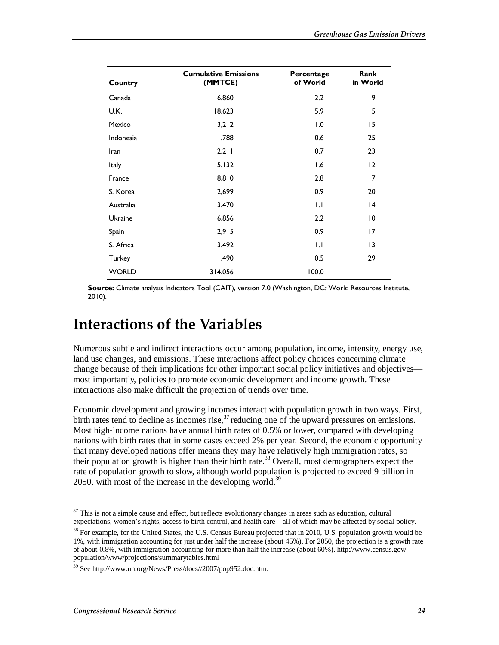| Country        | <b>Cumulative Emissions</b><br>(MMTCE) | Percentage<br>of World | Rank<br>in World |
|----------------|----------------------------------------|------------------------|------------------|
| Canada         | 6,860                                  | 2.2                    | 9                |
| U.K.           | 18,623                                 | 5.9                    | 5                |
| Mexico         | 3,212                                  | 1.0                    | 15               |
| Indonesia      | 1,788                                  | 0.6                    | 25               |
| Iran           | 2,211                                  | 0.7                    | 23               |
| <b>Italy</b>   | 5,132                                  | 1.6                    | $12 \,$          |
| France         | 8,810                                  | 2.8                    | 7                |
| S. Korea       | 2,699                                  | 0.9                    | 20               |
| Australia      | 3,470                                  | 1.1                    | $\overline{14}$  |
| <b>Ukraine</b> | 6,856                                  | 2.2                    | $\overline{0}$   |
| Spain          | 2,915                                  | 0.9                    | 17               |
| S. Africa      | 3,492                                  | 1.1                    | 13               |
| Turkey         | 1,490                                  | 0.5                    | 29               |
| <b>WORLD</b>   | 314,056                                | 100.0                  |                  |

**Source:** Climate analysis Indicators Tool (CAIT), version 7.0 (Washington, DC: World Resources Institute, 2010).

## **Interactions of the Variables**

Numerous subtle and indirect interactions occur among population, income, intensity, energy use, land use changes, and emissions. These interactions affect policy choices concerning climate change because of their implications for other important social policy initiatives and objectives most importantly, policies to promote economic development and income growth. These interactions also make difficult the projection of trends over time.

Economic development and growing incomes interact with population growth in two ways. First, birth rates tend to decline as incomes rise,  $37$  reducing one of the upward pressures on emissions. Most high-income nations have annual birth rates of 0.5% or lower, compared with developing nations with birth rates that in some cases exceed 2% per year. Second, the economic opportunity that many developed nations offer means they may have relatively high immigration rates, so their population growth is higher than their birth rate.<sup>38</sup> Overall, most demographers expect the rate of population growth to slow, although world population is projected to exceed 9 billion in 2050, with most of the increase in the developing world.<sup>39</sup>

<u>.</u>

 $37$  This is not a simple cause and effect, but reflects evolutionary changes in areas such as education, cultural expectations, women's rights, access to birth control, and health care—all of which may be affected by social policy.

<sup>&</sup>lt;sup>38</sup> For example, for the United States, the U.S. Census Bureau projected that in 2010, U.S. population growth would be 1%, with immigration accounting for just under half the increase (about 45%). For 2050, the projection is a growth rate of about 0.8%, with immigration accounting for more than half the increase (about 60%). http://www.census.gov/ population/www/projections/summarytables.html

<sup>39</sup> See http://www.un.org/News/Press/docs//2007/pop952.doc.htm.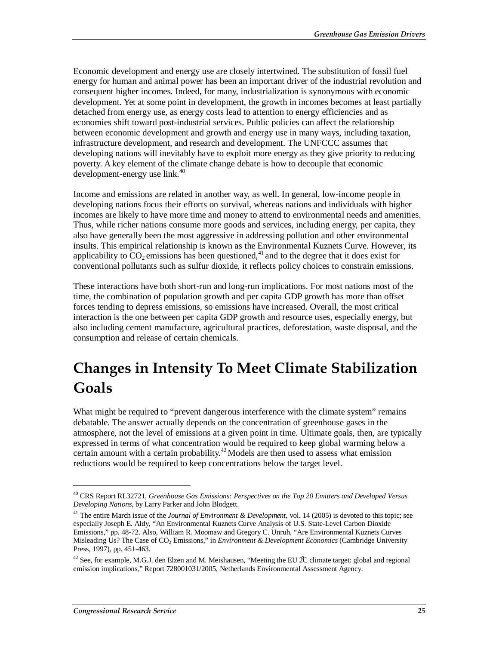Economic development and energy use are closely intertwined. The substitution of fossil fuel energy for human and animal power has been an important driver of the industrial revolution and consequent higher incomes. Indeed, for many, industrialization is synonymous with economic development. Yet at some point in development, the growth in incomes becomes at least partially detached from energy use, as energy costs lead to attention to energy efficiencies and as economies shift toward post-industrial services. Public policies can affect the relationship between economic development and growth and energy use in many ways, including taxation, infrastructure development, and research and development. The UNFCCC assumes that developing nations will inevitably have to exploit more energy as they give priority to reducing poverty. A key element of the climate change debate is how to decouple that economic development-energy use  $link<sup>40</sup>$ 

Income and emissions are related in another way, as well. In general, low-income people in developing nations focus their efforts on survival, whereas nations and individuals with higher incomes are likely to have more time and money to attend to environmental needs and amenities. Thus, while richer nations consume more goods and services, including energy, per capita, they also have generally been the most aggressive in addressing pollution and other environmental insults. This empirical relationship is known as the Environmental Kuznets Curve. However, its applicability to  $CO_2$  emissions has been questioned,<sup>41</sup> and to the degree that it does exist for conventional pollutants such as sulfur dioxide, it reflects policy choices to constrain emissions.

These interactions have both short-run and long-run implications. For most nations most of the time, the combination of population growth and per capita GDP growth has more than offset forces tending to depress emissions, so emissions have increased. Overall, the most critical interaction is the one between per capita GDP growth and resource uses, especially energy, but also including cement manufacture, agricultural practices, deforestation, waste disposal, and the consumption and release of certain chemicals.

## **Changes in Intensity To Meet Climate Stabilization Goals**

What might be required to "prevent dangerous interference with the climate system" remains debatable. The answer actually depends on the concentration of greenhouse gases in the atmosphere, not the level of emissions at a given point in time. Ultimate goals, then, are typically expressed in terms of what concentration would be required to keep global warming below a certain amount with a certain probability.<sup>42</sup> Models are then used to assess what emission reductions would be required to keep concentrations below the target level.

<sup>40</sup> CRS Report RL32721, *Greenhouse Gas Emissions: Perspectives on the Top 20 Emitters and Developed Versus Developing Nations*, by Larry Parker and John Blodgett.

<sup>&</sup>lt;sup>41</sup> The entire March issue of the *Journal of Environment & Development*, vol. 14 (2005) is devoted to this topic; see especially Joseph E. Aldy, "An Environmental Kuznets Curve Analysis of U.S. State-Level Carbon Dioxide Emissions," pp. 48-72. Also, William R. Moomaw and Gregory C. Unruh, "Are Environmental Kuznets Curves Misleading Us? The Case of CO<sub>2</sub> Emissions," in *Environment & Development Economics* (Cambridge University Press, 1997), pp. 451-463.

<sup>&</sup>lt;sup>42</sup> See, for example, M.G.J. den Elzen and M. Meishausen, "Meeting the EU  $\ell$ C climate target: global and regional emission implications," Report 728001031/2005, Netherlands Environmental Assessment Agency.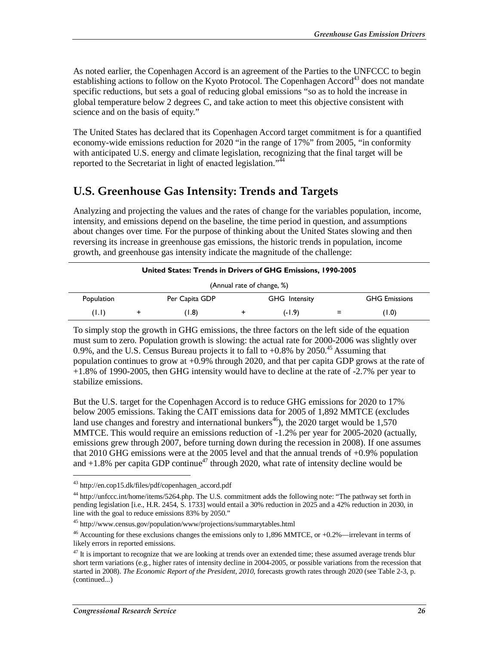As noted earlier, the Copenhagen Accord is an agreement of the Parties to the UNFCCC to begin establishing actions to follow on the Kyoto Protocol. The Copenhagen Accord<sup>43</sup> does not mandate specific reductions, but sets a goal of reducing global emissions "so as to hold the increase in global temperature below 2 degrees C, and take action to meet this objective consistent with science and on the basis of equity."

The United States has declared that its Copenhagen Accord target commitment is for a quantified economy-wide emissions reduction for 2020 "in the range of 17%" from 2005, "in conformity with anticipated U.S. energy and climate legislation, recognizing that the final target will be reported to the Secretariat in light of enacted legislation."<sup> $44$ </sup>

### **U.S. Greenhouse Gas Intensity: Trends and Targets**

Analyzing and projecting the values and the rates of change for the variables population, income, intensity, and emissions depend on the baseline, the time period in question, and assumptions about changes over time. For the purpose of thinking about the United States slowing and then reversing its increase in greenhouse gas emissions, the historic trends in population, income growth, and greenhouse gas intensity indicate the magnitude of the challenge:

| <b>United States: Trends in Drivers of GHG Emissions, 1990-2005</b> |  |                |  |                      |     |                      |  |  |
|---------------------------------------------------------------------|--|----------------|--|----------------------|-----|----------------------|--|--|
| (Annual rate of change, %)                                          |  |                |  |                      |     |                      |  |  |
| Population                                                          |  | Per Capita GDP |  | <b>GHG</b> Intensity |     | <b>GHG Emissions</b> |  |  |
| (1.1)                                                               |  | (1.8)          |  | $(-1.9)$             | $=$ | (1.0)                |  |  |

To simply stop the growth in GHG emissions, the three factors on the left side of the equation must sum to zero. Population growth is slowing: the actual rate for 2000-2006 was slightly over 0.9%, and the U.S. Census Bureau projects it to fall to  $+0.8\%$  by 2050.<sup>45</sup> Assuming that population continues to grow at +0.9% through 2020, and that per capita GDP grows at the rate of +1.8% of 1990-2005, then GHG intensity would have to decline at the rate of -2.7% per year to stabilize emissions.

But the U.S. target for the Copenhagen Accord is to reduce GHG emissions for 2020 to 17% below 2005 emissions. Taking the CAIT emissions data for 2005 of 1,892 MMTCE (excludes land use changes and forestry and international bunkers<sup>46</sup>), the 2020 target would be 1,570 MMTCE. This would require an emissions reduction of -1.2% per year for 2005-2020 (actually, emissions grew through 2007, before turning down during the recession in 2008). If one assumes that 2010 GHG emissions were at the 2005 level and that the annual trends of +0.9% population and  $+1.8\%$  per capita GDP continue<sup>47</sup> through 2020, what rate of intensity decline would be

<sup>43</sup> http://en.cop15.dk/files/pdf/copenhagen\_accord.pdf

<sup>&</sup>lt;sup>44</sup> http://unfccc.int/home/items/5264.php. The U.S. commitment adds the following note: "The pathway set forth in pending legislation [i.e., H.R. 2454, S. 1733] would entail a 30% reduction in 2025 and a 42% reduction in 2030, in line with the goal to reduce emissions 83% by 2050."

<sup>45</sup> http://www.census.gov/population/www/projections/summarytables.html

<sup>46</sup> Accounting for these exclusions changes the emissions only to 1,896 MMTCE, or +0.2%—irrelevant in terms of likely errors in reported emissions.

 $47$  It is important to recognize that we are looking at trends over an extended time; these assumed average trends blur short term variations (e.g., higher rates of intensity decline in 2004-2005, or possible variations from the recession that started in 2008). *The Economic Report of the President, 2010*, forecasts growth rates through 2020 (see Table 2-3, p. (continued...)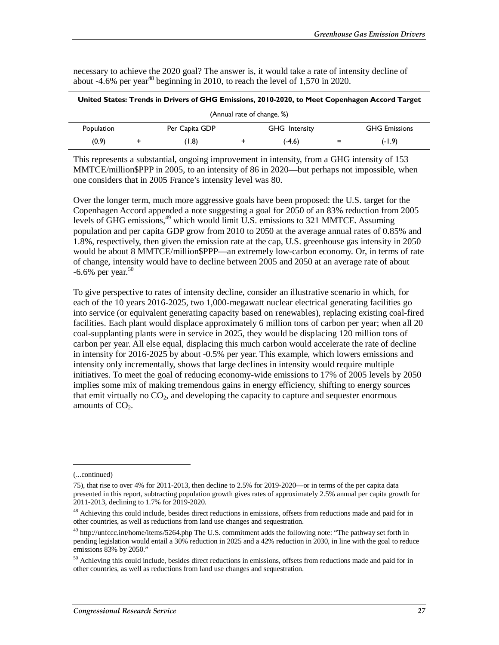necessary to achieve the 2020 goal? The answer is, it would take a rate of intensity decline of

| (Annual rate of change, %) |  |                |  |                      |     |                      |  |
|----------------------------|--|----------------|--|----------------------|-----|----------------------|--|
| Population                 |  | Per Capita GDP |  | <b>GHG</b> Intensity |     | <b>GHG Emissions</b> |  |
| (0.9)                      |  | (1.8)          |  | $(-4.6)$             | $=$ | $(-1.9)$             |  |

This represents a substantial, ongoing improvement in intensity, from a GHG intensity of 153 MMTCE/million\$PPP in 2005, to an intensity of 86 in 2020—but perhaps not impossible, when one considers that in 2005 France's intensity level was 80.

Over the longer term, much more aggressive goals have been proposed: the U.S. target for the Copenhagen Accord appended a note suggesting a goal for 2050 of an 83% reduction from 2005 levels of GHG emissions,<sup>49</sup> which would limit U.S. emissions to 321 MMTCE. Assuming population and per capita GDP grow from 2010 to 2050 at the average annual rates of 0.85% and 1.8%, respectively, then given the emission rate at the cap, U.S. greenhouse gas intensity in 2050 would be about 8 MMTCE/million\$PPP—an extremely low-carbon economy. Or, in terms of rate of change, intensity would have to decline between 2005 and 2050 at an average rate of about  $-6.6\%$  per year.<sup>50</sup>

To give perspective to rates of intensity decline, consider an illustrative scenario in which, for each of the 10 years 2016-2025, two 1,000-megawatt nuclear electrical generating facilities go into service (or equivalent generating capacity based on renewables), replacing existing coal-fired facilities. Each plant would displace approximately 6 million tons of carbon per year; when all 20 coal-supplanting plants were in service in 2025, they would be displacing 120 million tons of carbon per year. All else equal, displacing this much carbon would accelerate the rate of decline in intensity for 2016-2025 by about -0.5% per year. This example, which lowers emissions and intensity only incrementally, shows that large declines in intensity would require multiple initiatives. To meet the goal of reducing economy-wide emissions to 17% of 2005 levels by 2050 implies some mix of making tremendous gains in energy efficiency, shifting to energy sources that emit virtually no  $CO<sub>2</sub>$ , and developing the capacity to capture and sequester enormous amounts of  $CO<sub>2</sub>$ .

<u>.</u>

<sup>(...</sup>continued)

<sup>75),</sup> that rise to over 4% for 2011-2013, then decline to 2.5% for 2019-2020—or in terms of the per capita data presented in this report, subtracting population growth gives rates of approximately 2.5% annual per capita growth for 2011-2013, declining to 1.7% for 2019-2020.

 $48$  Achieving this could include, besides direct reductions in emissions, offsets from reductions made and paid for in other countries, as well as reductions from land use changes and sequestration.

<sup>&</sup>lt;sup>49</sup> http://unfccc.int/home/items/5264.php The U.S. commitment adds the following note: "The pathway set forth in pending legislation would entail a 30% reduction in 2025 and a 42% reduction in 2030, in line with the goal to reduce emissions 83% by 2050."

<sup>&</sup>lt;sup>50</sup> Achieving this could include, besides direct reductions in emissions, offsets from reductions made and paid for in other countries, as well as reductions from land use changes and sequestration.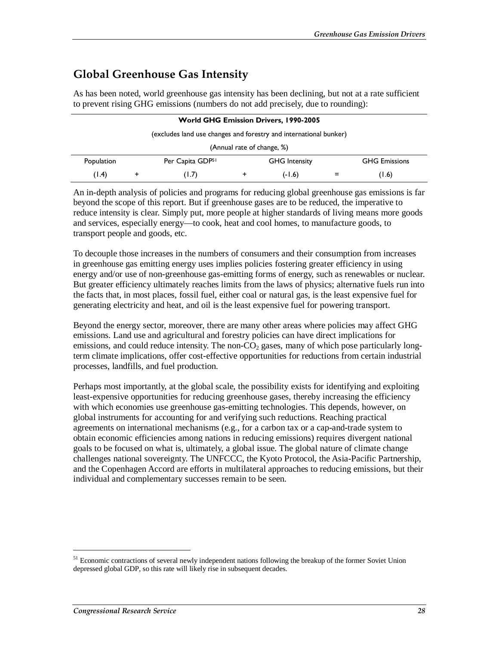### **Global Greenhouse Gas Intensity**

As has been noted, world greenhouse gas intensity has been declining, but not at a rate sufficient to prevent rising GHG emissions (numbers do not add precisely, due to rounding):

| <b>World GHG Emission Drivers, 1990-2005</b>                      |  |                  |   |                      |  |                      |  |  |
|-------------------------------------------------------------------|--|------------------|---|----------------------|--|----------------------|--|--|
| (excludes land use changes and forestry and international bunker) |  |                  |   |                      |  |                      |  |  |
| (Annual rate of change, %)                                        |  |                  |   |                      |  |                      |  |  |
| Population                                                        |  | Per Capita GDP51 |   | <b>GHG</b> Intensity |  | <b>GHG Emissions</b> |  |  |
| (1.4)                                                             |  | (1.7)            | + | (-1.6)               |  | (1.6)                |  |  |

An in-depth analysis of policies and programs for reducing global greenhouse gas emissions is far beyond the scope of this report. But if greenhouse gases are to be reduced, the imperative to reduce intensity is clear. Simply put, more people at higher standards of living means more goods and services, especially energy—to cook, heat and cool homes, to manufacture goods, to transport people and goods, etc.

To decouple those increases in the numbers of consumers and their consumption from increases in greenhouse gas emitting energy uses implies policies fostering greater efficiency in using energy and/or use of non-greenhouse gas-emitting forms of energy, such as renewables or nuclear. But greater efficiency ultimately reaches limits from the laws of physics; alternative fuels run into the facts that, in most places, fossil fuel, either coal or natural gas, is the least expensive fuel for generating electricity and heat, and oil is the least expensive fuel for powering transport.

Beyond the energy sector, moreover, there are many other areas where policies may affect GHG emissions. Land use and agricultural and forestry policies can have direct implications for emissions, and could reduce intensity. The non- $CO<sub>2</sub>$  gases, many of which pose particularly longterm climate implications, offer cost-effective opportunities for reductions from certain industrial processes, landfills, and fuel production.

Perhaps most importantly, at the global scale, the possibility exists for identifying and exploiting least-expensive opportunities for reducing greenhouse gases, thereby increasing the efficiency with which economies use greenhouse gas-emitting technologies. This depends, however, on global instruments for accounting for and verifying such reductions. Reaching practical agreements on international mechanisms (e.g., for a carbon tax or a cap-and-trade system to obtain economic efficiencies among nations in reducing emissions) requires divergent national goals to be focused on what is, ultimately, a global issue. The global nature of climate change challenges national sovereignty. The UNFCCC, the Kyoto Protocol, the Asia-Pacific Partnership, and the Copenhagen Accord are efforts in multilateral approaches to reducing emissions, but their individual and complementary successes remain to be seen.

<sup>&</sup>lt;sup>51</sup> Economic contractions of several newly independent nations following the breakup of the former Soviet Union depressed global GDP, so this rate will likely rise in subsequent decades.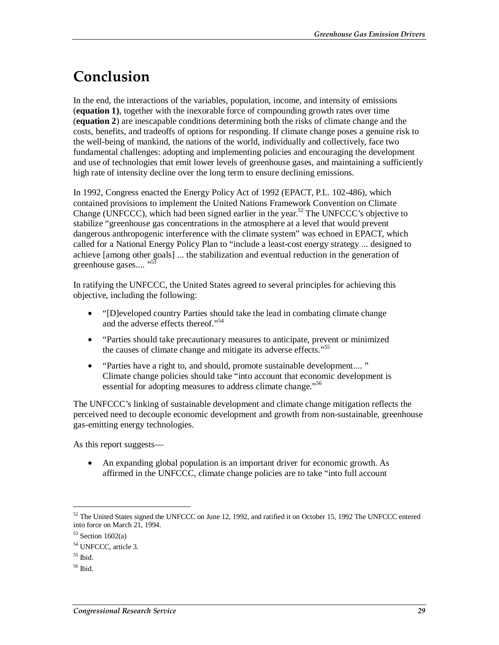## **Conclusion**

In the end, the interactions of the variables, population, income, and intensity of emissions (**equation 1)**, together with the inexorable force of compounding growth rates over time (**equation 2**) are inescapable conditions determining both the risks of climate change and the costs, benefits, and tradeoffs of options for responding. If climate change poses a genuine risk to the well-being of mankind, the nations of the world, individually and collectively, face two fundamental challenges: adopting and implementing policies and encouraging the development and use of technologies that emit lower levels of greenhouse gases, and maintaining a sufficiently high rate of intensity decline over the long term to ensure declining emissions.

In 1992, Congress enacted the Energy Policy Act of 1992 (EPACT, P.L. 102-486), which contained provisions to implement the United Nations Framework Convention on Climate Change (UNFCCC), which had been signed earlier in the year.<sup>52</sup> The UNFCCC's objective to stabilize "greenhouse gas concentrations in the atmosphere at a level that would prevent dangerous anthropogenic interference with the climate system" was echoed in EPACT, which called for a National Energy Policy Plan to "include a least-cost energy strategy ... designed to achieve [among other goals] ... the stabilization and eventual reduction in the generation of greenhouse gases....<sup>"5</sup>

In ratifying the UNFCCC, the United States agreed to several principles for achieving this objective, including the following:

- "[D]eveloped country Parties should take the lead in combating climate change and the adverse effects thereof."<sup>54</sup>
- "Parties should take precautionary measures to anticipate, prevent or minimized the causes of climate change and mitigate its adverse effects."55
- "Parties have a right to, and should, promote sustainable development.... " Climate change policies should take "into account that economic development is essential for adopting measures to address climate change."<sup>56</sup>

The UNFCCC's linking of sustainable development and climate change mitigation reflects the perceived need to decouple economic development and growth from non-sustainable, greenhouse gas-emitting energy technologies.

As this report suggests—

• An expanding global population is an important driver for economic growth. As affirmed in the UNFCCC, climate change policies are to take "into full account

 $52$  The United States signed the UNFCCC on June 12, 1992, and ratified it on October 15, 1992 The UNFCCC entered into force on March 21, 1994.

 $53$  Section 1602(a)

<sup>54</sup> UNFCCC, article 3.

 $55$  Ibid.

 $56$  Ibid.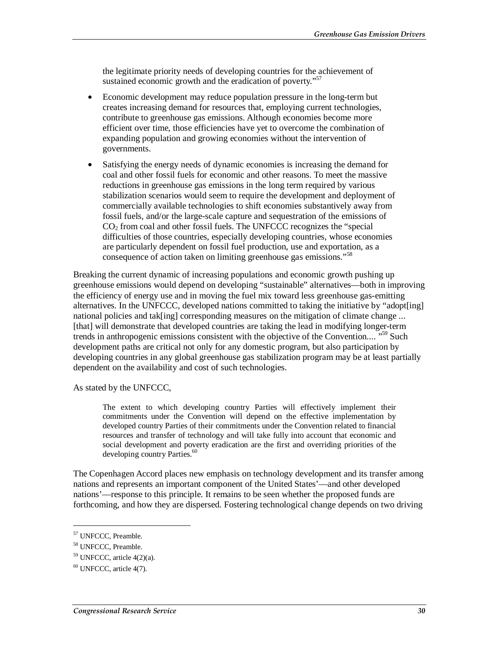the legitimate priority needs of developing countries for the achievement of sustained economic growth and the eradication of poverty."<sup>57</sup>

- Economic development may reduce population pressure in the long-term but creates increasing demand for resources that, employing current technologies, contribute to greenhouse gas emissions. Although economies become more efficient over time, those efficiencies have yet to overcome the combination of expanding population and growing economies without the intervention of governments.
- Satisfying the energy needs of dynamic economies is increasing the demand for coal and other fossil fuels for economic and other reasons. To meet the massive reductions in greenhouse gas emissions in the long term required by various stabilization scenarios would seem to require the development and deployment of commercially available technologies to shift economies substantively away from fossil fuels, and/or the large-scale capture and sequestration of the emissions of CO<sub>2</sub> from coal and other fossil fuels. The UNFCCC recognizes the "special" difficulties of those countries, especially developing countries, whose economies are particularly dependent on fossil fuel production, use and exportation, as a consequence of action taken on limiting greenhouse gas emissions."<sup>58</sup>

Breaking the current dynamic of increasing populations and economic growth pushing up greenhouse emissions would depend on developing "sustainable" alternatives—both in improving the efficiency of energy use and in moving the fuel mix toward less greenhouse gas-emitting alternatives. In the UNFCCC, developed nations committed to taking the initiative by "adopt[ing] national policies and tak[ing] corresponding measures on the mitigation of climate change ... [that] will demonstrate that developed countries are taking the lead in modifying longer-term trends in anthropogenic emissions consistent with the objective of the Convention....<sup>"59</sup> Such development paths are critical not only for any domestic program, but also participation by developing countries in any global greenhouse gas stabilization program may be at least partially dependent on the availability and cost of such technologies.

As stated by the UNFCCC,

The extent to which developing country Parties will effectively implement their commitments under the Convention will depend on the effective implementation by developed country Parties of their commitments under the Convention related to financial resources and transfer of technology and will take fully into account that economic and social development and poverty eradication are the first and overriding priorities of the developing country Parties.<sup>60</sup>

The Copenhagen Accord places new emphasis on technology development and its transfer among nations and represents an important component of the United States'—and other developed nations'—response to this principle. It remains to be seen whether the proposed funds are forthcoming, and how they are dispersed. Fostering technological change depends on two driving

<u>.</u>

<sup>57</sup> UNFCCC, Preamble.

<sup>58</sup> UNFCCC, Preamble.

<sup>59</sup> UNFCCC, article 4(2)(a).

 $60$  UNFCCC, article 4(7).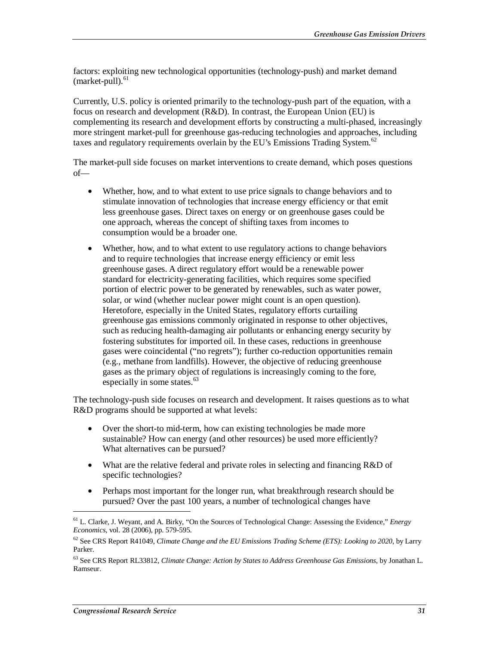factors: exploiting new technological opportunities (technology-push) and market demand  $(market-pull).$ <sup>61</sup>

Currently, U.S. policy is oriented primarily to the technology-push part of the equation, with a focus on research and development (R&D). In contrast, the European Union (EU) is complementing its research and development efforts by constructing a multi-phased, increasingly more stringent market-pull for greenhouse gas-reducing technologies and approaches, including taxes and regulatory requirements overlain by the EU's Emissions Trading System.<sup>62</sup>

The market-pull side focuses on market interventions to create demand, which poses questions of—

- Whether, how, and to what extent to use price signals to change behaviors and to stimulate innovation of technologies that increase energy efficiency or that emit less greenhouse gases. Direct taxes on energy or on greenhouse gases could be one approach, whereas the concept of shifting taxes from incomes to consumption would be a broader one.
- Whether, how, and to what extent to use regulatory actions to change behaviors and to require technologies that increase energy efficiency or emit less greenhouse gases. A direct regulatory effort would be a renewable power standard for electricity-generating facilities, which requires some specified portion of electric power to be generated by renewables, such as water power, solar, or wind (whether nuclear power might count is an open question). Heretofore, especially in the United States, regulatory efforts curtailing greenhouse gas emissions commonly originated in response to other objectives, such as reducing health-damaging air pollutants or enhancing energy security by fostering substitutes for imported oil. In these cases, reductions in greenhouse gases were coincidental ("no regrets"); further co-reduction opportunities remain (e.g., methane from landfills). However, the objective of reducing greenhouse gases as the primary object of regulations is increasingly coming to the fore, especially in some states.<sup>63</sup>

The technology-push side focuses on research and development. It raises questions as to what R&D programs should be supported at what levels:

- Over the short-to mid-term, how can existing technologies be made more sustainable? How can energy (and other resources) be used more efficiently? What alternatives can be pursued?
- What are the relative federal and private roles in selecting and financing R&D of specific technologies?
- Perhaps most important for the longer run, what breakthrough research should be pursued? Over the past 100 years, a number of technological changes have

<sup>61</sup> L. Clarke, J. Weyant, and A. Birky, "On the Sources of Technological Change: Assessing the Evidence," *Energy Economics*, vol. 28 (2006), pp. 579-595.

<sup>62</sup> See CRS Report R41049, *Climate Change and the EU Emissions Trading Scheme (ETS): Looking to 2020*, by Larry Parker.

<sup>63</sup> See CRS Report RL33812, *Climate Change: Action by States to Address Greenhouse Gas Emissions*, by Jonathan L. Ramseur.